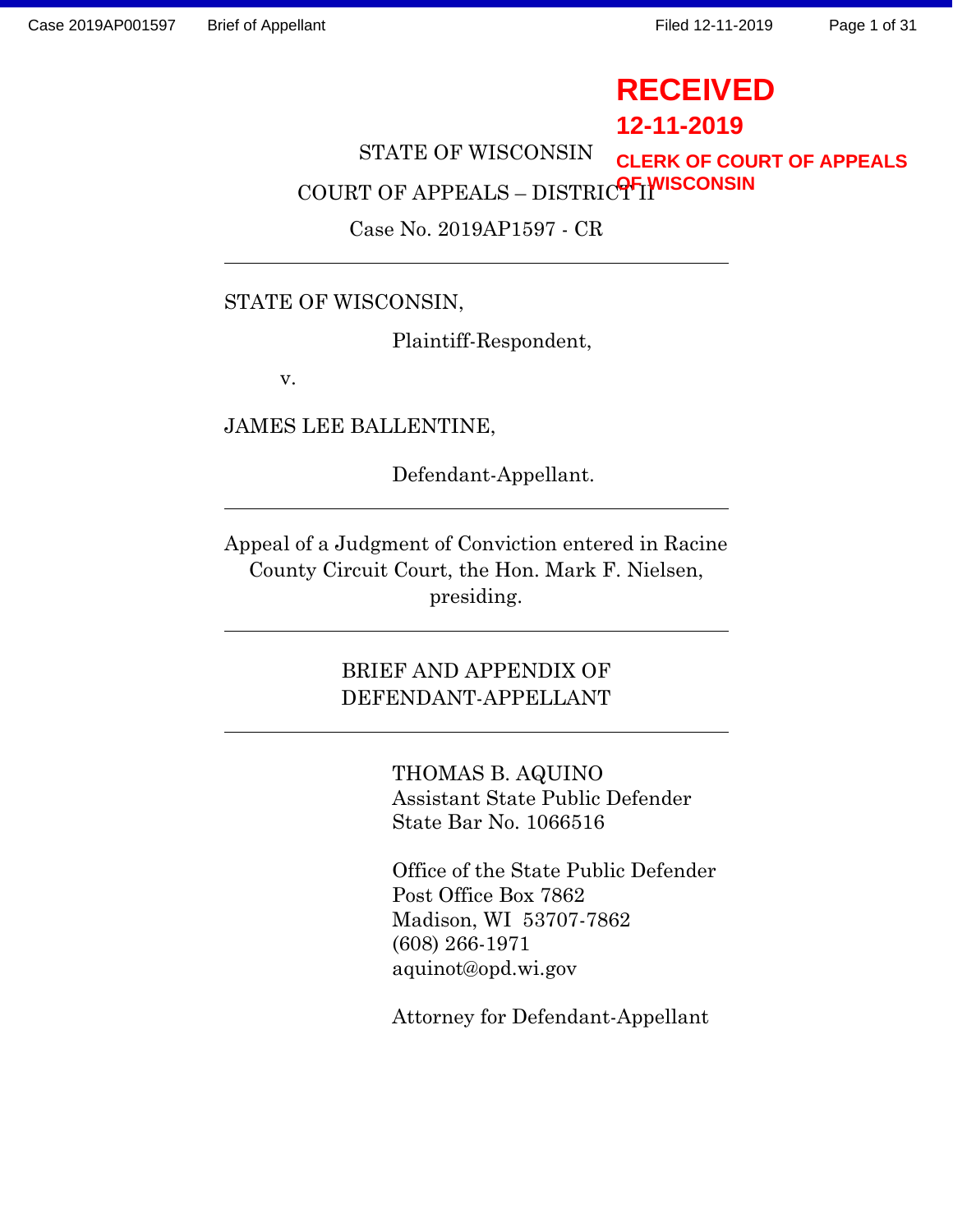# **RECEIVED**

# **12-11-2019**

STATE OF WISCONSIN COURT OF APPEALS – DISTRIC<sup>OF</sup>I<sup>WISCONSIN</sup> **CLERK OF COURT OF APPEALS**

Case No. 2019AP1597 - CR

# STATE OF WISCONSIN,

Plaintiff-Respondent,

v.

JAMES LEE BALLENTINE,

Defendant-Appellant.

Appeal of a Judgment of Conviction entered in Racine County Circuit Court, the Hon. Mark F. Nielsen, presiding.

> BRIEF AND APPENDIX OF DEFENDANT-APPELLANT

> > THOMAS B. AQUINO Assistant State Public Defender State Bar No. 1066516

Office of the State Public Defender Post Office Box 7862 Madison, WI 53707-7862 (608) 266-1971 aquinot@opd.wi.gov

Attorney for Defendant-Appellant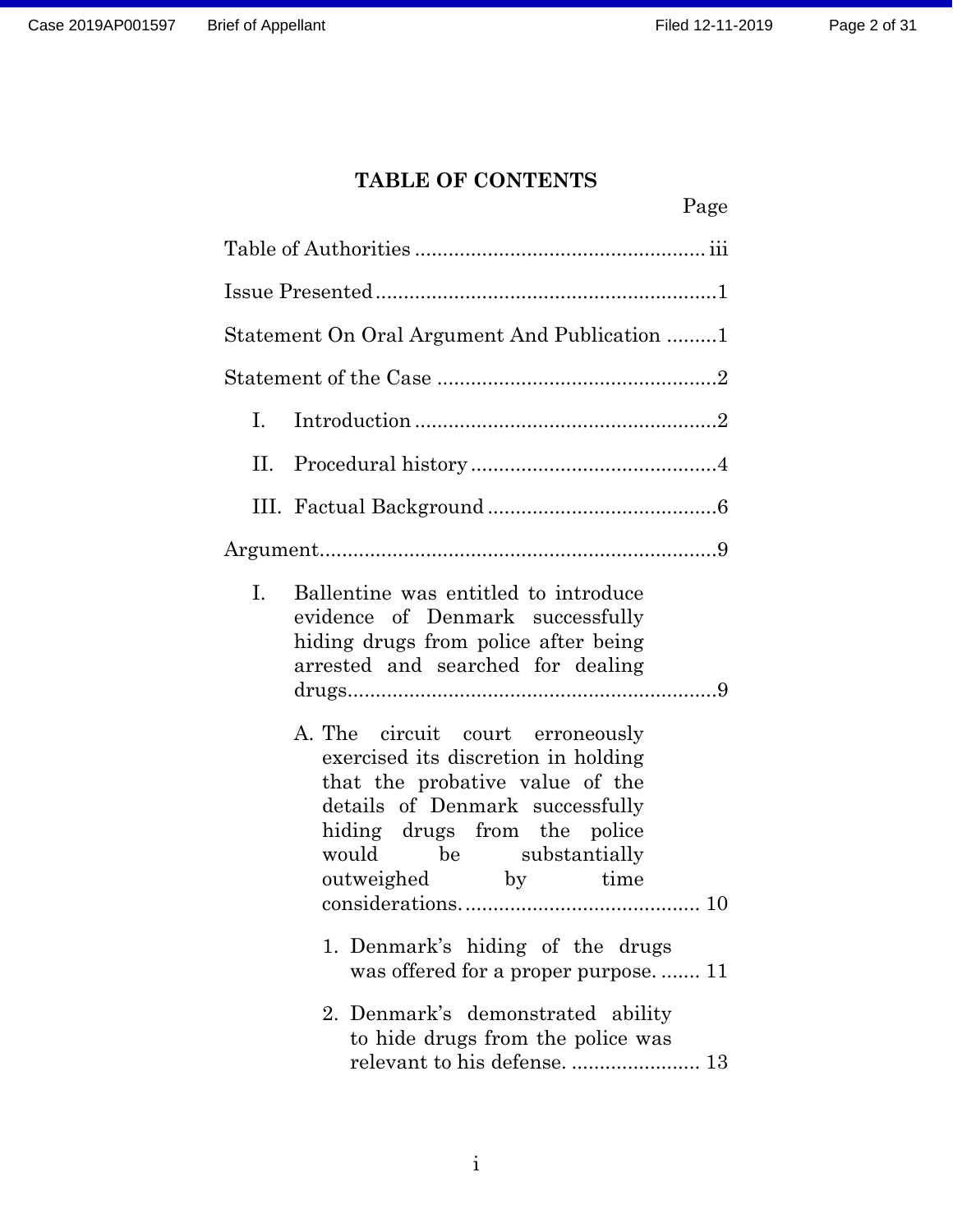## **TABLE OF CONTENTS**

|     |                                                                                                                                                                                                                               | Page |  |  |  |  |
|-----|-------------------------------------------------------------------------------------------------------------------------------------------------------------------------------------------------------------------------------|------|--|--|--|--|
|     |                                                                                                                                                                                                                               |      |  |  |  |  |
|     |                                                                                                                                                                                                                               |      |  |  |  |  |
|     | Statement On Oral Argument And Publication 1                                                                                                                                                                                  |      |  |  |  |  |
|     |                                                                                                                                                                                                                               |      |  |  |  |  |
| Ι.  |                                                                                                                                                                                                                               |      |  |  |  |  |
| II. |                                                                                                                                                                                                                               |      |  |  |  |  |
|     |                                                                                                                                                                                                                               |      |  |  |  |  |
|     |                                                                                                                                                                                                                               |      |  |  |  |  |
| I.  | Ballentine was entitled to introduce<br>evidence of Denmark successfully<br>hiding drugs from police after being<br>arrested and searched for dealing                                                                         |      |  |  |  |  |
|     | A. The circuit court erroneously<br>exercised its discretion in holding<br>that the probative value of the<br>details of Denmark successfully<br>hiding drugs from the police<br>would be substantially<br>outweighed by time |      |  |  |  |  |
|     | 1. Denmark's hiding of the drugs<br>was offered for a proper purpose 11                                                                                                                                                       |      |  |  |  |  |
|     | 2. Denmark's demonstrated ability<br>to hide drugs from the police was                                                                                                                                                        |      |  |  |  |  |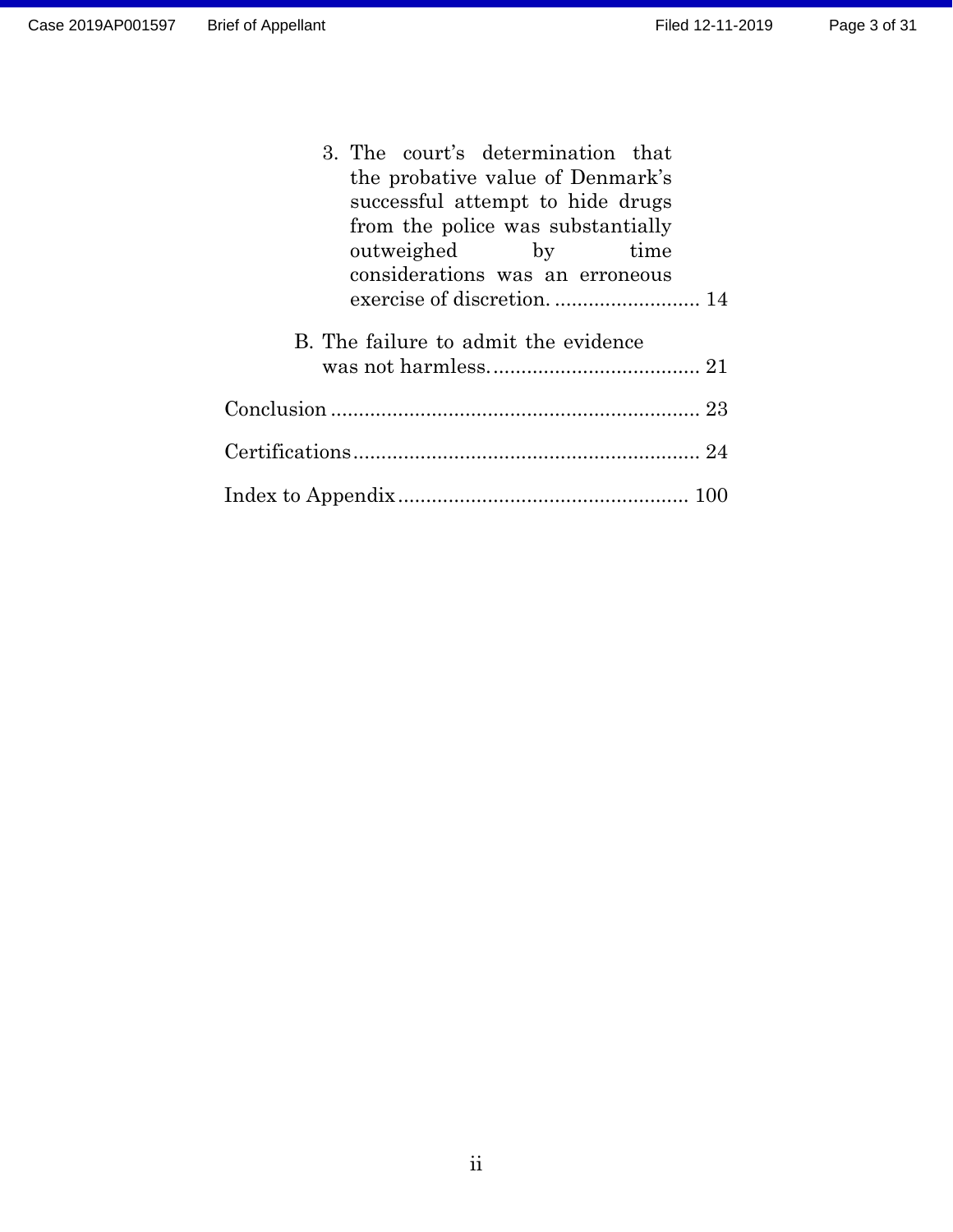| 3. The court's determination that    |
|--------------------------------------|
| the probative value of Denmark's     |
| successful attempt to hide drugs     |
| from the police was substantially    |
| outweighed by time                   |
| considerations was an erroneous      |
|                                      |
| B. The failure to admit the evidence |
|                                      |
|                                      |
|                                      |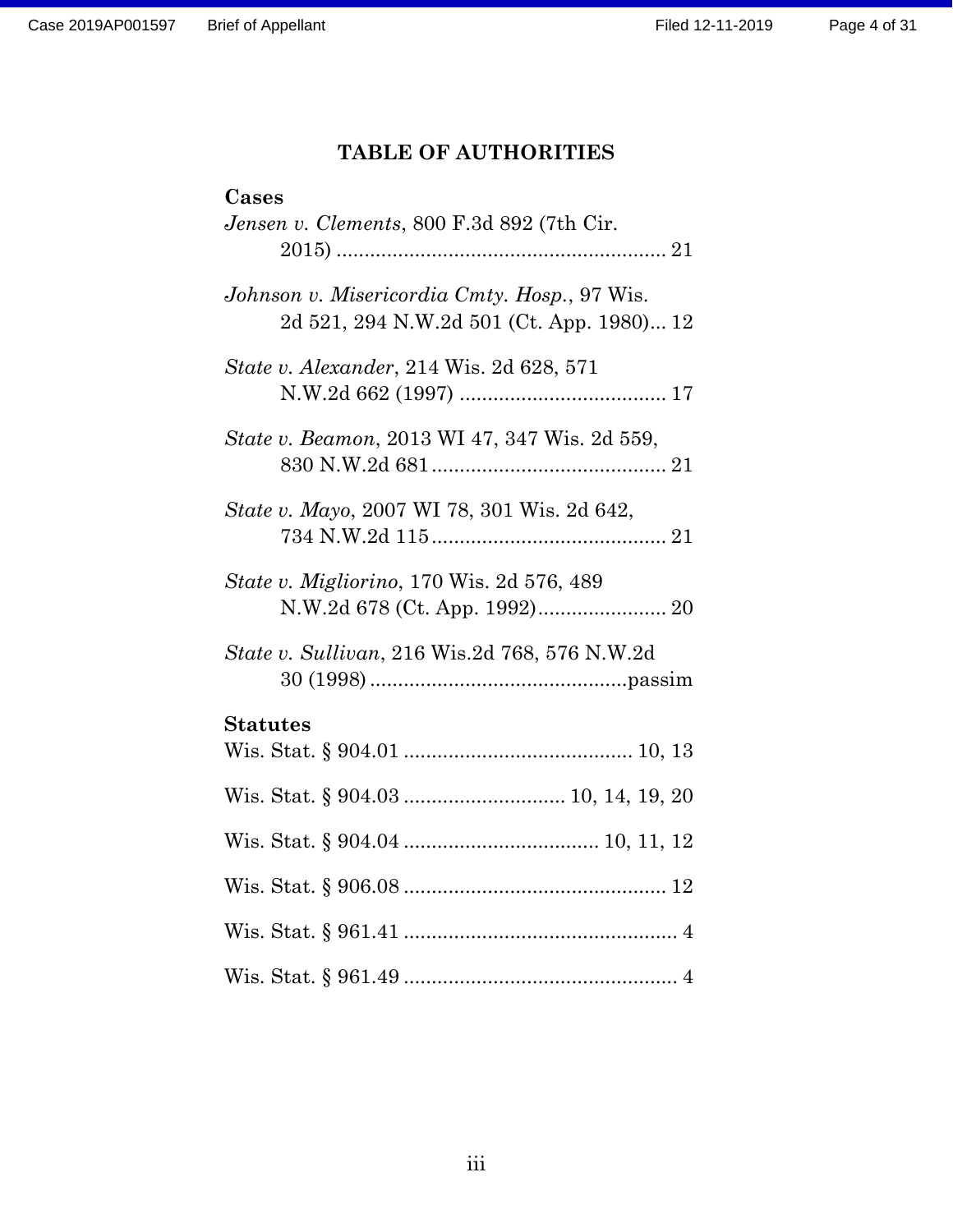# **TABLE OF AUTHORITIES**

<span id="page-3-0"></span>

| Cases                                                                                     |
|-------------------------------------------------------------------------------------------|
| Jensen v. Clements, 800 F.3d 892 (7th Cir.                                                |
| Johnson v. Misericordia Cmty. Hosp., 97 Wis.<br>2d 521, 294 N.W.2d 501 (Ct. App. 1980) 12 |
| <i>State v. Alexander, 214 Wis. 2d 628, 571</i>                                           |
| State v. Beamon, 2013 WI 47, 347 Wis. 2d 559,                                             |
| State v. Mayo, 2007 WI 78, 301 Wis. 2d 642,                                               |
| <i>State v. Migliorino</i> , 170 Wis. 2d 576, 489                                         |
| State v. Sullivan, 216 Wis.2d 768, 576 N.W.2d                                             |
| <b>Statutes</b>                                                                           |
|                                                                                           |
|                                                                                           |
|                                                                                           |
|                                                                                           |
|                                                                                           |
|                                                                                           |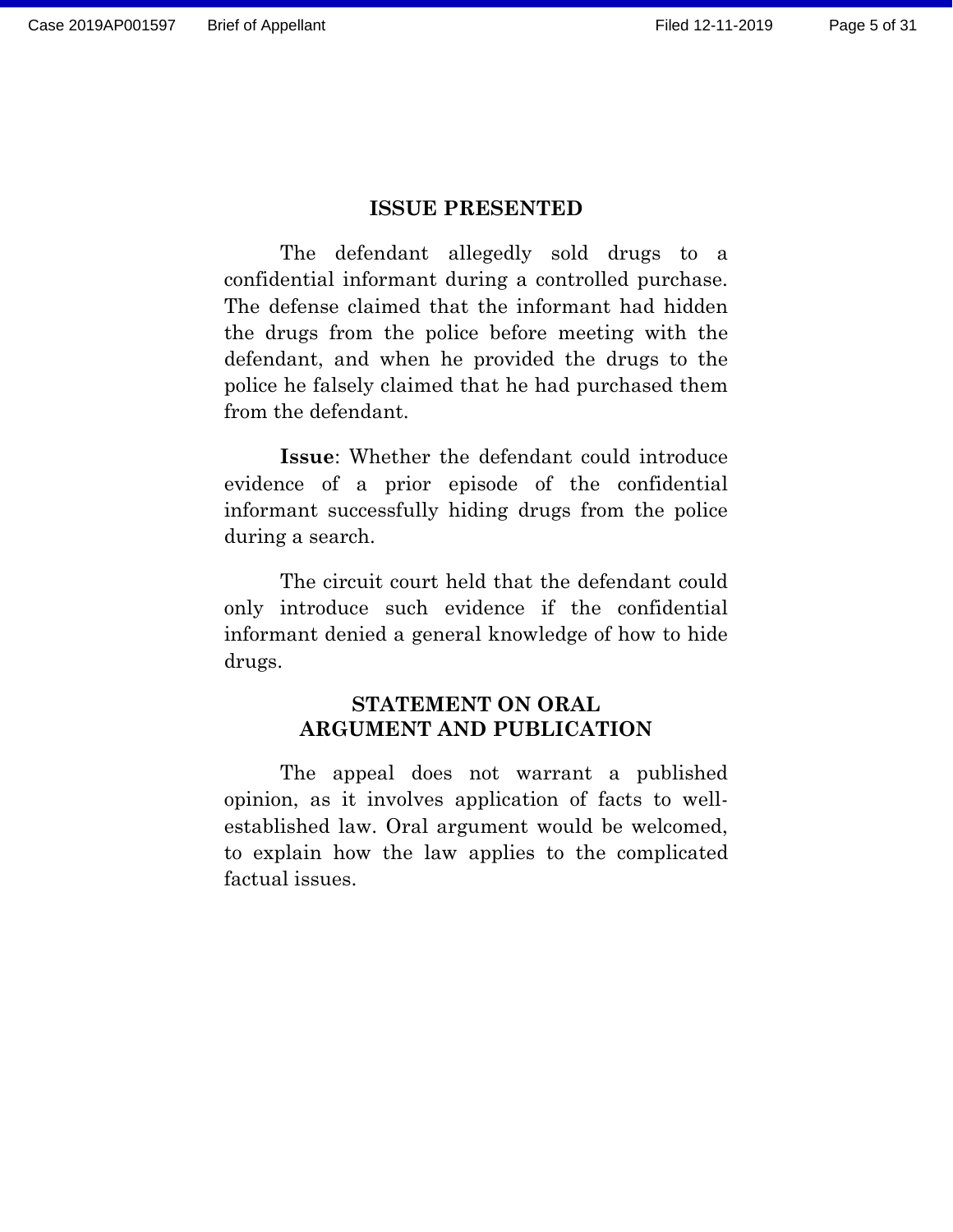#### **ISSUE PRESENTED**

<span id="page-4-0"></span>The defendant allegedly sold drugs to a confidential informant during a controlled purchase. The defense claimed that the informant had hidden the drugs from the police before meeting with the defendant, and when he provided the drugs to the police he falsely claimed that he had purchased them from the defendant.

**Issue**: Whether the defendant could introduce evidence of a prior episode of the confidential informant successfully hiding drugs from the police during a search.

The circuit court held that the defendant could only introduce such evidence if the confidential informant denied a general knowledge of how to hide drugs.

## **STATEMENT ON ORAL ARGUMENT AND PUBLICATION**

<span id="page-4-1"></span>The appeal does not warrant a published opinion, as it involves application of facts to wellestablished law. Oral argument would be welcomed, to explain how the law applies to the complicated factual issues.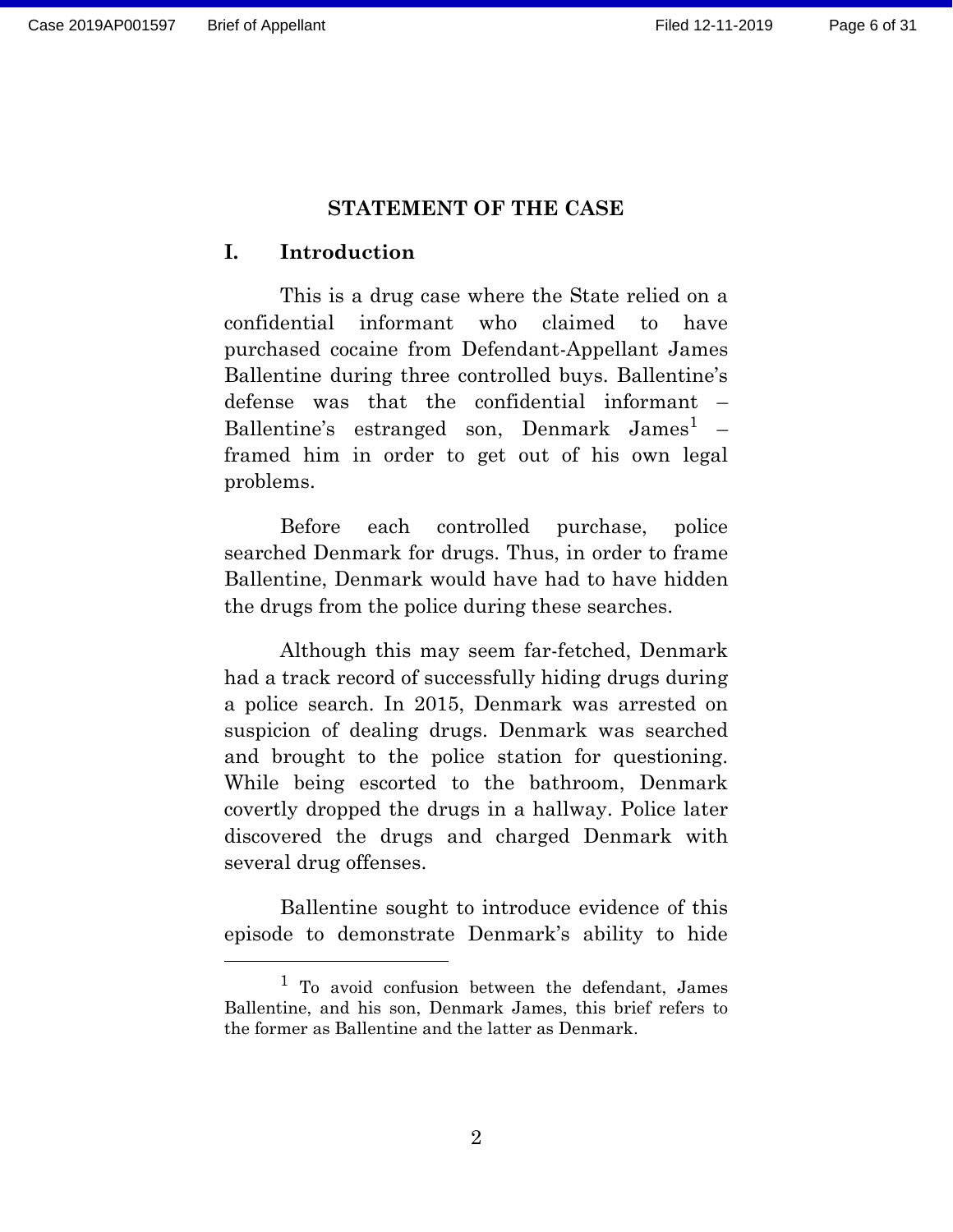#### **STATEMENT OF THE CASE**

#### <span id="page-5-1"></span><span id="page-5-0"></span>**I. Introduction**

This is a drug case where the State relied on a confidential informant who claimed to have purchased cocaine from Defendant-Appellant James Ballentine during three controlled buys. Ballentine's defense was that the confidential informant – Ballentine's estranged son, Denmark James<sup>1</sup> – framed him in order to get out of his own legal problems.

Before each controlled purchase, police searched Denmark for drugs. Thus, in order to frame Ballentine, Denmark would have had to have hidden the drugs from the police during these searches.

Although this may seem far-fetched, Denmark had a track record of successfully hiding drugs during a police search. In 2015, Denmark was arrested on suspicion of dealing drugs. Denmark was searched and brought to the police station for questioning. While being escorted to the bathroom, Denmark covertly dropped the drugs in a hallway. Police later discovered the drugs and charged Denmark with several drug offenses.

Ballentine sought to introduce evidence of this episode to demonstrate Denmark's ability to hide

<sup>&</sup>lt;sup>1</sup> To avoid confusion between the defendant, James Ballentine, and his son, Denmark James, this brief refers to the former as Ballentine and the latter as Denmark.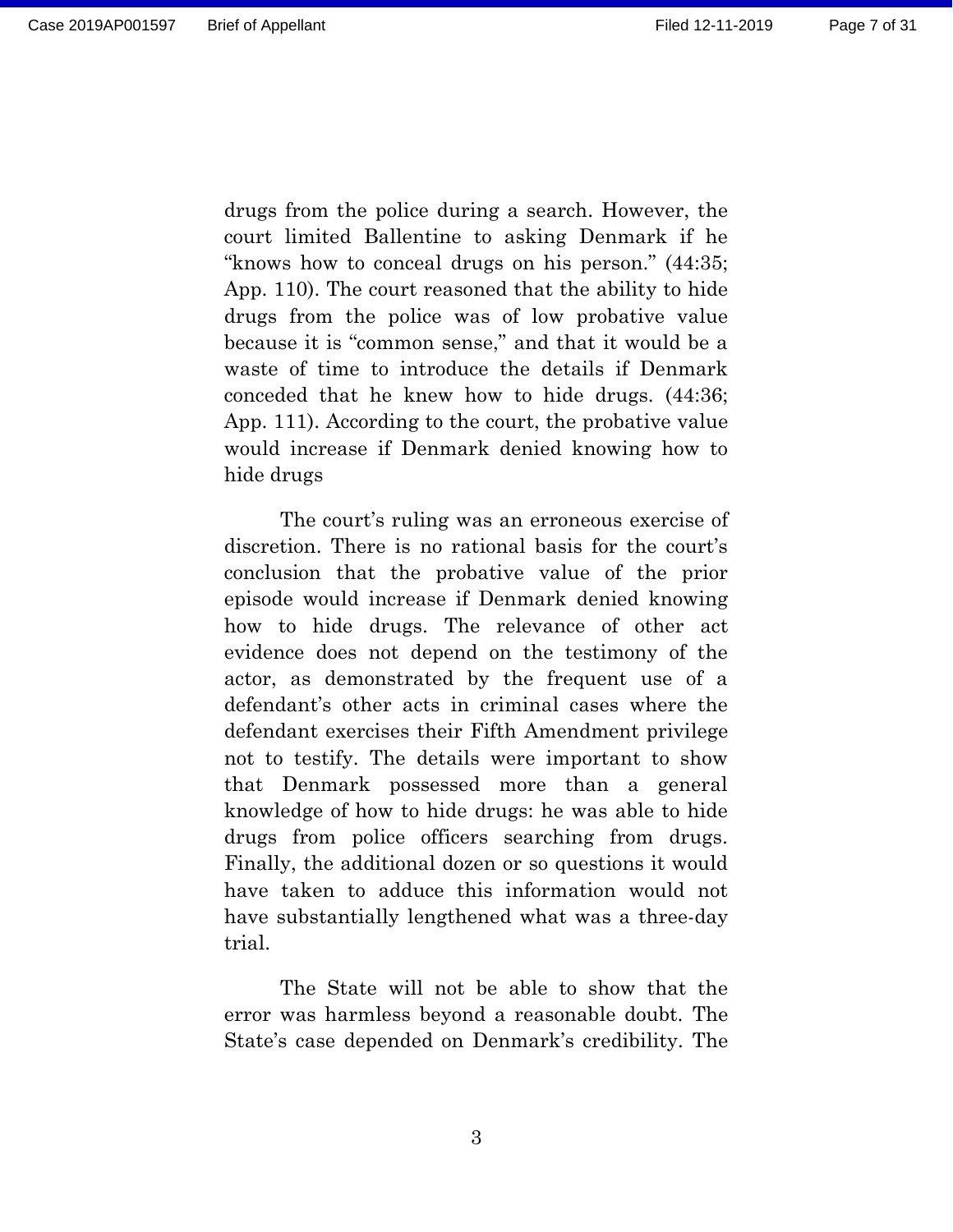drugs from the police during a search. However, the court limited Ballentine to asking Denmark if he "knows how to conceal drugs on his person." (44:35; App. 110). The court reasoned that the ability to hide drugs from the police was of low probative value because it is "common sense," and that it would be a waste of time to introduce the details if Denmark conceded that he knew how to hide drugs. (44:36; App. 111). According to the court, the probative value would increase if Denmark denied knowing how to hide drugs

The court's ruling was an erroneous exercise of discretion. There is no rational basis for the court's conclusion that the probative value of the prior episode would increase if Denmark denied knowing how to hide drugs. The relevance of other act evidence does not depend on the testimony of the actor, as demonstrated by the frequent use of a defendant's other acts in criminal cases where the defendant exercises their Fifth Amendment privilege not to testify. The details were important to show that Denmark possessed more than a general knowledge of how to hide drugs: he was able to hide drugs from police officers searching from drugs. Finally, the additional dozen or so questions it would have taken to adduce this information would not have substantially lengthened what was a three-day trial.

The State will not be able to show that the error was harmless beyond a reasonable doubt. The State's case depended on Denmark's credibility. The

3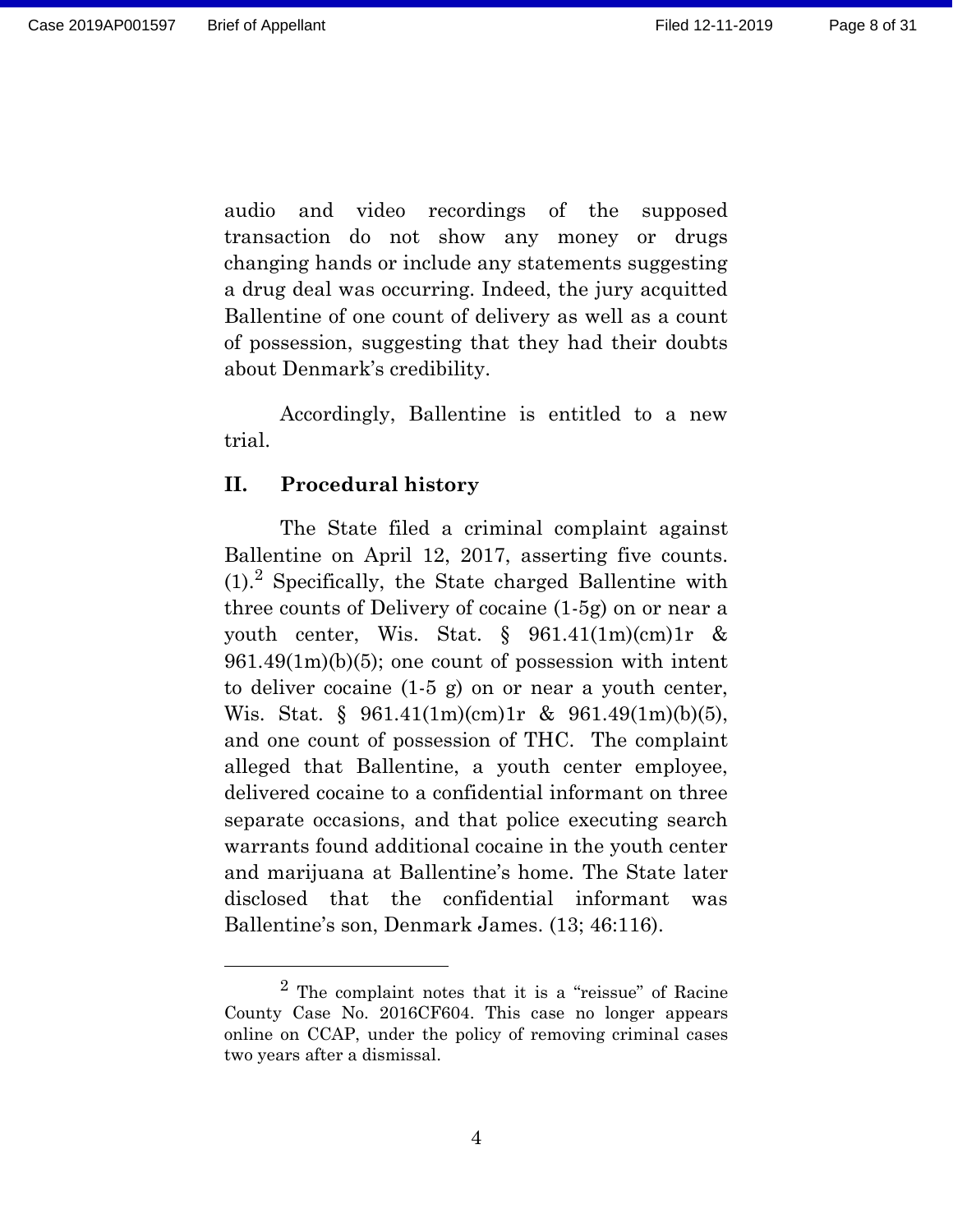audio and video recordings of the supposed transaction do not show any money or drugs changing hands or include any statements suggesting a drug deal was occurring. Indeed, the jury acquitted Ballentine of one count of delivery as well as a count of possession, suggesting that they had their doubts about Denmark's credibility.

Accordingly, Ballentine is entitled to a new trial.

#### <span id="page-7-0"></span>**II. Procedural history**

The State filed a criminal complaint against Ballentine on April 12, 2017, asserting five counts.  $(1)$ .<sup>2</sup> Specifically, the State charged Ballentine with three counts of Delivery of cocaine (1-5g) on or near a youth center, Wis. Stat.  $\S$  961.41(1m)(cm)1r &  $961.49(1m)(b)(5)$ ; one count of possession with intent to deliver cocaine (1-5 g) on or near a youth center, Wis. Stat. § 961.41(1m)(cm)1r & 961.49(1m)(b)(5), and one count of possession of THC. The complaint alleged that Ballentine, a youth center employee, delivered cocaine to a confidential informant on three separate occasions, and that police executing search warrants found additional cocaine in the youth center and marijuana at Ballentine's home. The State later disclosed that the confidential informant was Ballentine's son, Denmark James. (13; 46:116).

<sup>2</sup> The complaint notes that it is a "reissue" of Racine County Case No. 2016CF604. This case no longer appears online on CCAP, under the policy of removing criminal cases two years after a dismissal.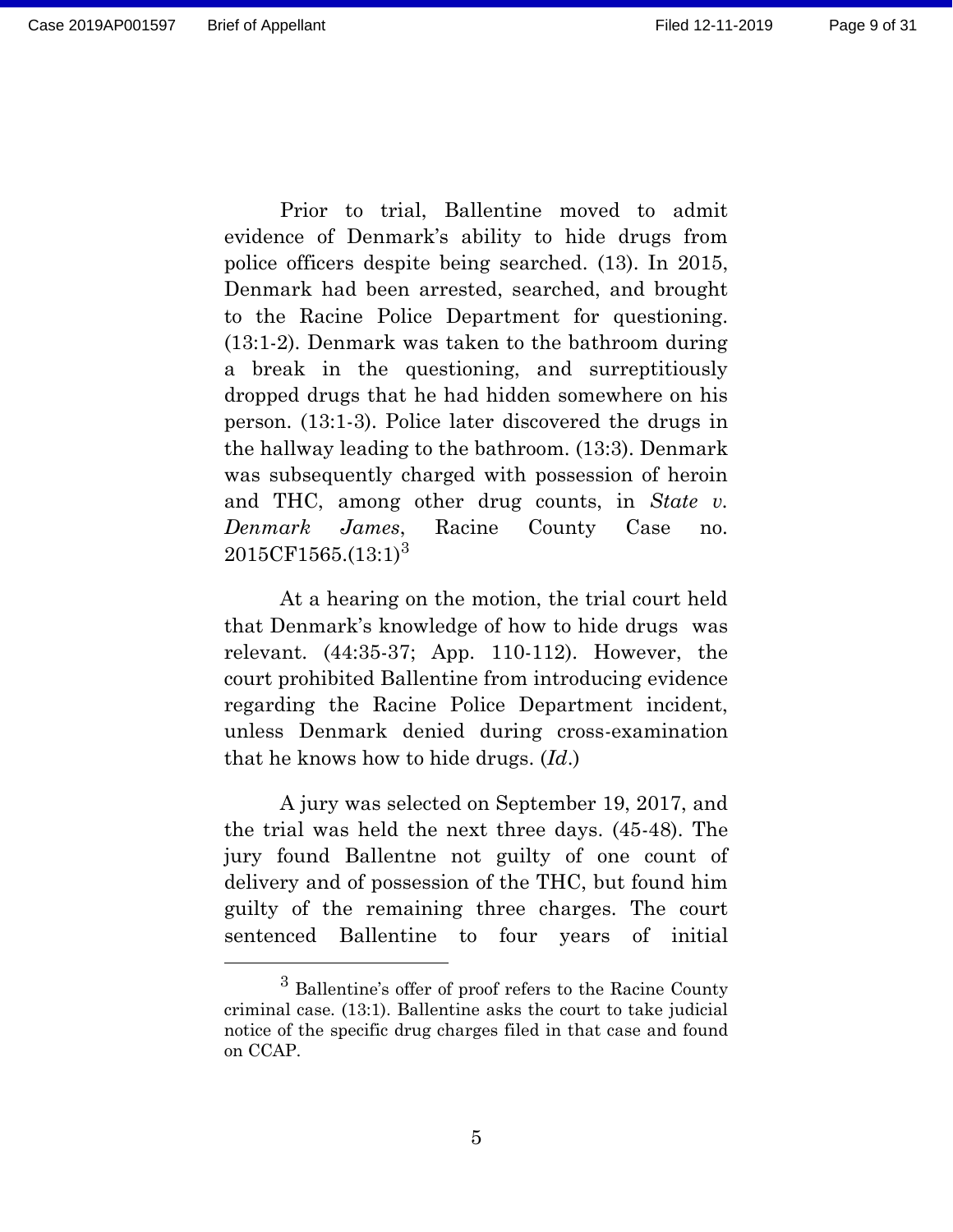Prior to trial, Ballentine moved to admit evidence of Denmark's ability to hide drugs from police officers despite being searched. (13). In 2015, Denmark had been arrested, searched, and brought to the Racine Police Department for questioning. (13:1-2). Denmark was taken to the bathroom during a break in the questioning, and surreptitiously dropped drugs that he had hidden somewhere on his person. (13:1-3). Police later discovered the drugs in the hallway leading to the bathroom. (13:3). Denmark was subsequently charged with possession of heroin and THC, among other drug counts, in *State v. Denmark James*, Racine County Case no.

At a hearing on the motion, the trial court held that Denmark's knowledge of how to hide drugs was relevant. (44:35-37; App. 110-112). However, the court prohibited Ballentine from introducing evidence regarding the Racine Police Department incident, unless Denmark denied during cross-examination that he knows how to hide drugs. (*Id*.)

 $2015CF1565.(13:1)<sup>3</sup>$ 

A jury was selected on September 19, 2017, and the trial was held the next three days. (45-48). The jury found Ballentne not guilty of one count of delivery and of possession of the THC, but found him guilty of the remaining three charges. The court sentenced Ballentine to four years of initial

<sup>&</sup>lt;sup>3</sup> Ballentine's offer of proof refers to the Racine County criminal case. (13:1). Ballentine asks the court to take judicial notice of the specific drug charges filed in that case and found on CCAP.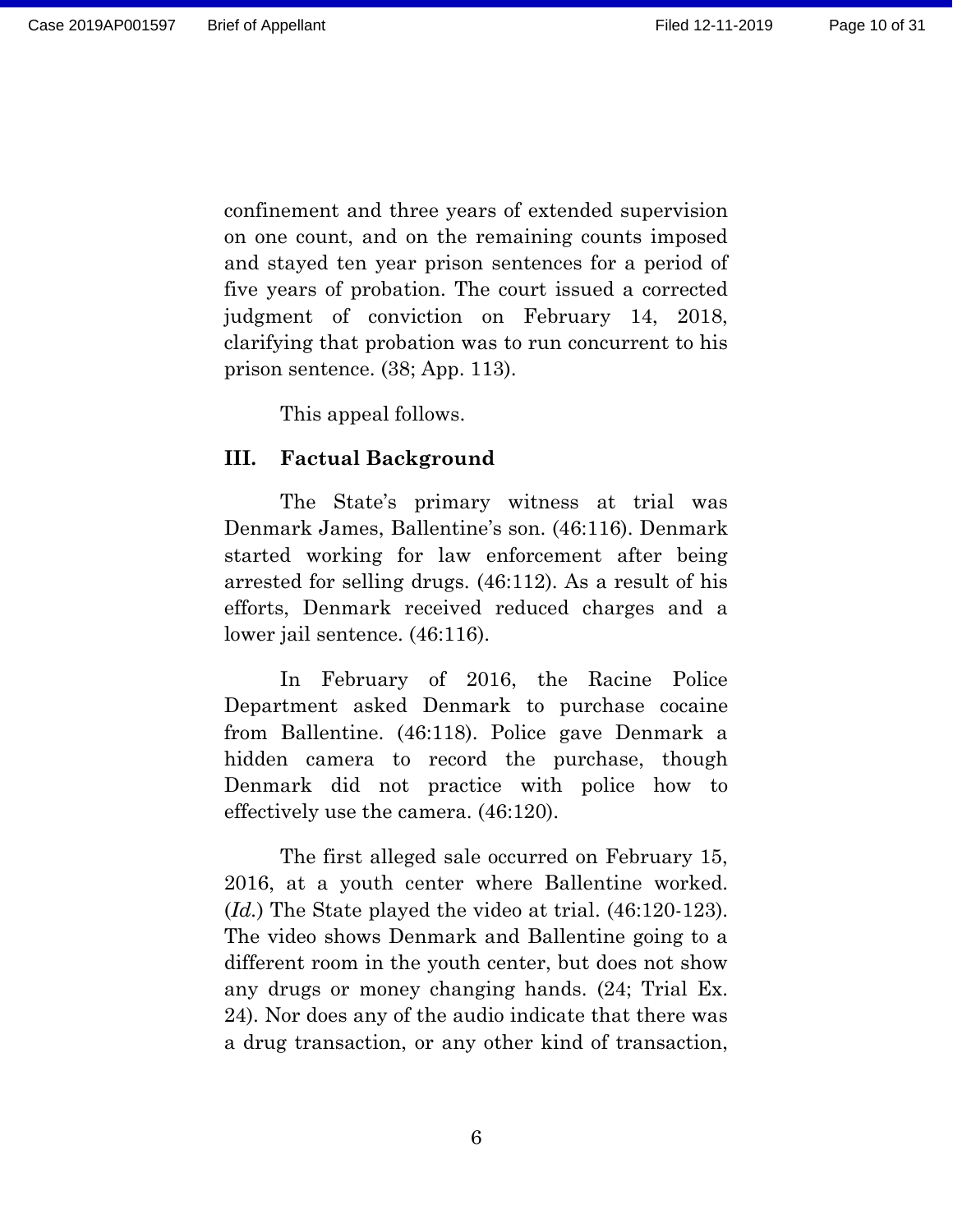confinement and three years of extended supervision on one count, and on the remaining counts imposed and stayed ten year prison sentences for a period of five years of probation. The court issued a corrected judgment of conviction on February 14, 2018, clarifying that probation was to run concurrent to his prison sentence. (38; App. 113).

This appeal follows.

#### <span id="page-9-0"></span>**III. Factual Background**

The State's primary witness at trial was Denmark James, Ballentine's son. (46:116). Denmark started working for law enforcement after being arrested for selling drugs. (46:112). As a result of his efforts, Denmark received reduced charges and a lower jail sentence. (46:116).

In February of 2016, the Racine Police Department asked Denmark to purchase cocaine from Ballentine. (46:118). Police gave Denmark a hidden camera to record the purchase, though Denmark did not practice with police how to effectively use the camera. (46:120).

The first alleged sale occurred on February 15, 2016, at a youth center where Ballentine worked. (*Id.*) The State played the video at trial. (46:120-123). The video shows Denmark and Ballentine going to a different room in the youth center, but does not show any drugs or money changing hands. (24; Trial Ex. 24). Nor does any of the audio indicate that there was a drug transaction, or any other kind of transaction,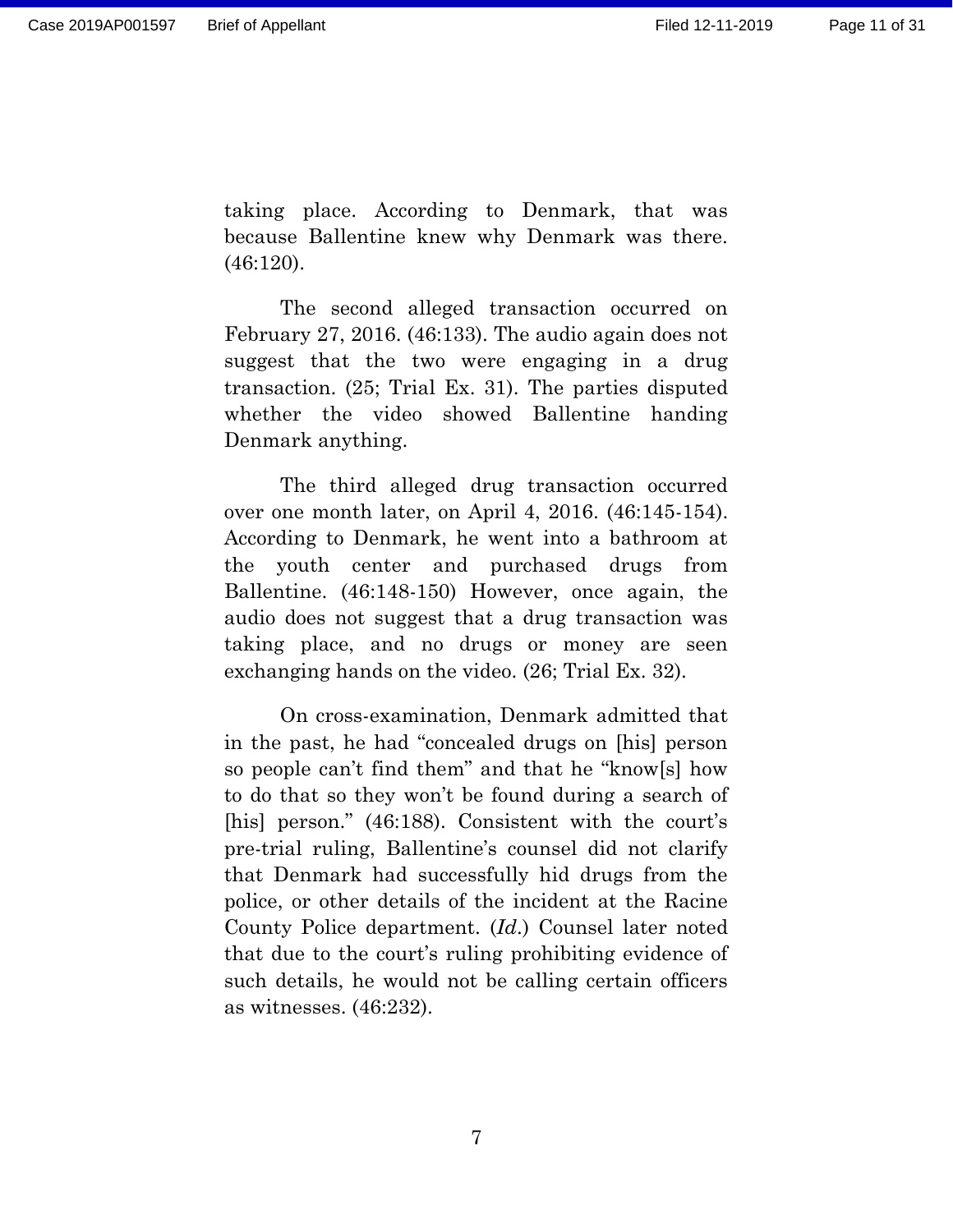taking place. According to Denmark, that was because Ballentine knew why Denmark was there. (46:120).

The second alleged transaction occurred on February 27, 2016. (46:133). The audio again does not suggest that the two were engaging in a drug transaction. (25; Trial Ex. 31). The parties disputed whether the video showed Ballentine handing Denmark anything.

The third alleged drug transaction occurred over one month later, on April 4, 2016. (46:145-154). According to Denmark, he went into a bathroom at the youth center and purchased drugs from Ballentine. (46:148-150) However, once again, the audio does not suggest that a drug transaction was taking place, and no drugs or money are seen exchanging hands on the video. (26; Trial Ex. 32).

On cross-examination, Denmark admitted that in the past, he had "concealed drugs on [his] person so people can't find them" and that he "know[s] how to do that so they won't be found during a search of [his] person." (46:188). Consistent with the court's pre-trial ruling, Ballentine's counsel did not clarify that Denmark had successfully hid drugs from the police, or other details of the incident at the Racine County Police department. (*Id*.) Counsel later noted that due to the court's ruling prohibiting evidence of such details, he would not be calling certain officers as witnesses. (46:232).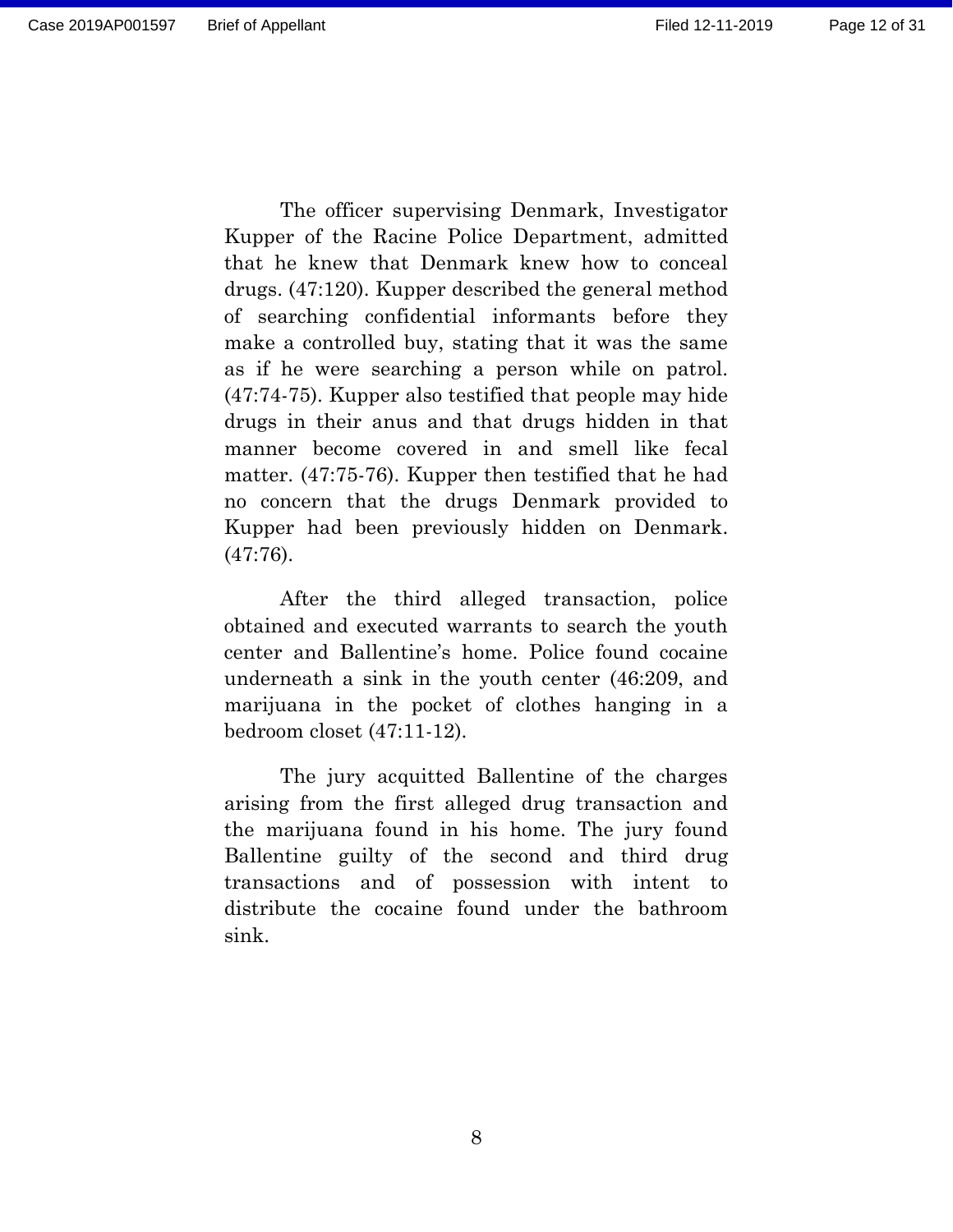The officer supervising Denmark, Investigator Kupper of the Racine Police Department, admitted that he knew that Denmark knew how to conceal drugs. (47:120). Kupper described the general method of searching confidential informants before they make a controlled buy, stating that it was the same as if he were searching a person while on patrol. (47:74-75). Kupper also testified that people may hide drugs in their anus and that drugs hidden in that manner become covered in and smell like fecal matter. (47:75-76). Kupper then testified that he had no concern that the drugs Denmark provided to Kupper had been previously hidden on Denmark. (47:76).

After the third alleged transaction, police obtained and executed warrants to search the youth center and Ballentine's home. Police found cocaine underneath a sink in the youth center (46:209, and marijuana in the pocket of clothes hanging in a bedroom closet (47:11-12).

The jury acquitted Ballentine of the charges arising from the first alleged drug transaction and the marijuana found in his home. The jury found Ballentine guilty of the second and third drug transactions and of possession with intent to distribute the cocaine found under the bathroom sink.

8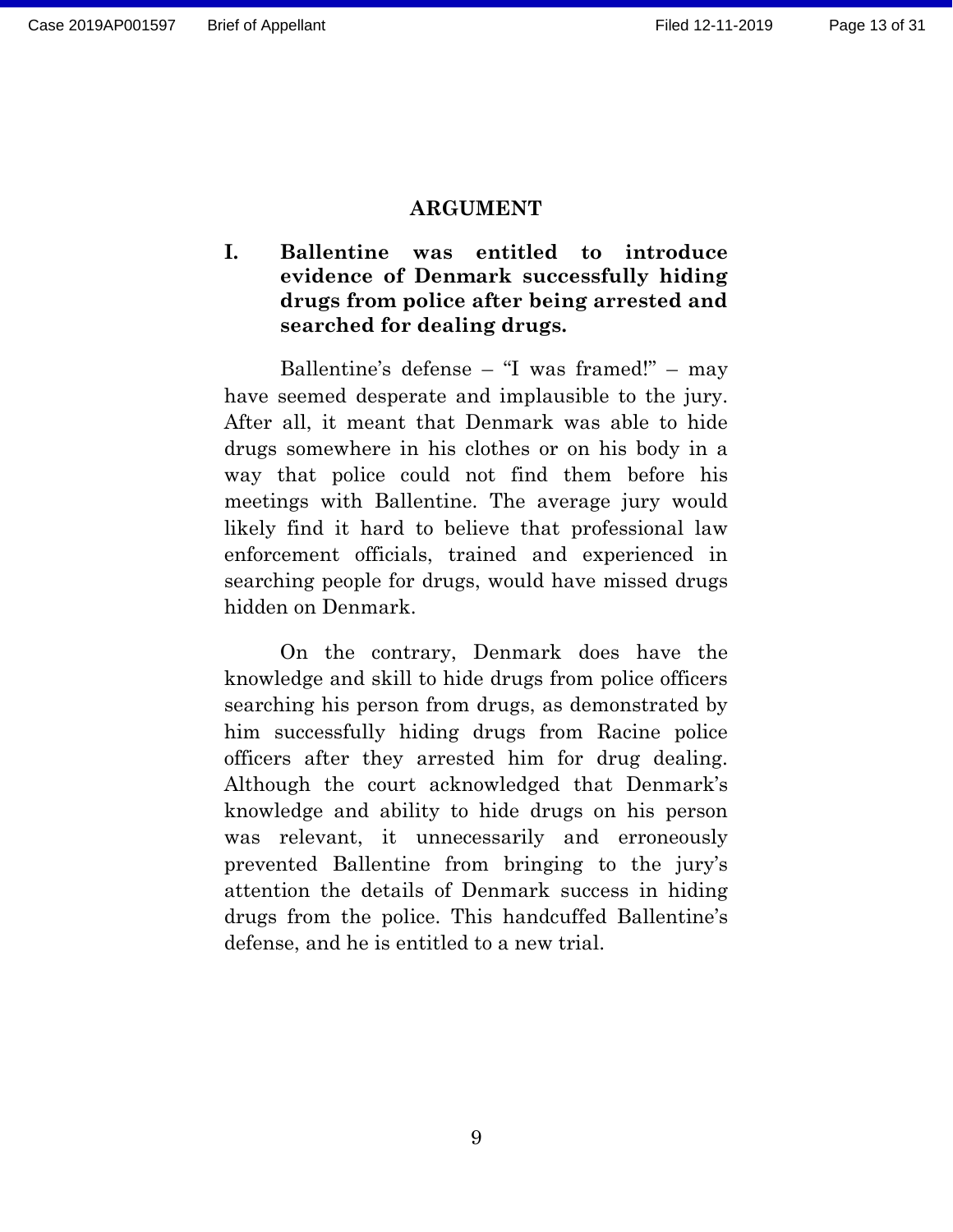#### **ARGUMENT**

## <span id="page-12-1"></span><span id="page-12-0"></span>**I. Ballentine was entitled to introduce evidence of Denmark successfully hiding drugs from police after being arrested and searched for dealing drugs.**

Ballentine's defense – "I was framed!" – may have seemed desperate and implausible to the jury. After all, it meant that Denmark was able to hide drugs somewhere in his clothes or on his body in a way that police could not find them before his meetings with Ballentine. The average jury would likely find it hard to believe that professional law enforcement officials, trained and experienced in searching people for drugs, would have missed drugs hidden on Denmark.

On the contrary, Denmark does have the knowledge and skill to hide drugs from police officers searching his person from drugs, as demonstrated by him successfully hiding drugs from Racine police officers after they arrested him for drug dealing. Although the court acknowledged that Denmark's knowledge and ability to hide drugs on his person was relevant, it unnecessarily and erroneously prevented Ballentine from bringing to the jury's attention the details of Denmark success in hiding drugs from the police. This handcuffed Ballentine's defense, and he is entitled to a new trial.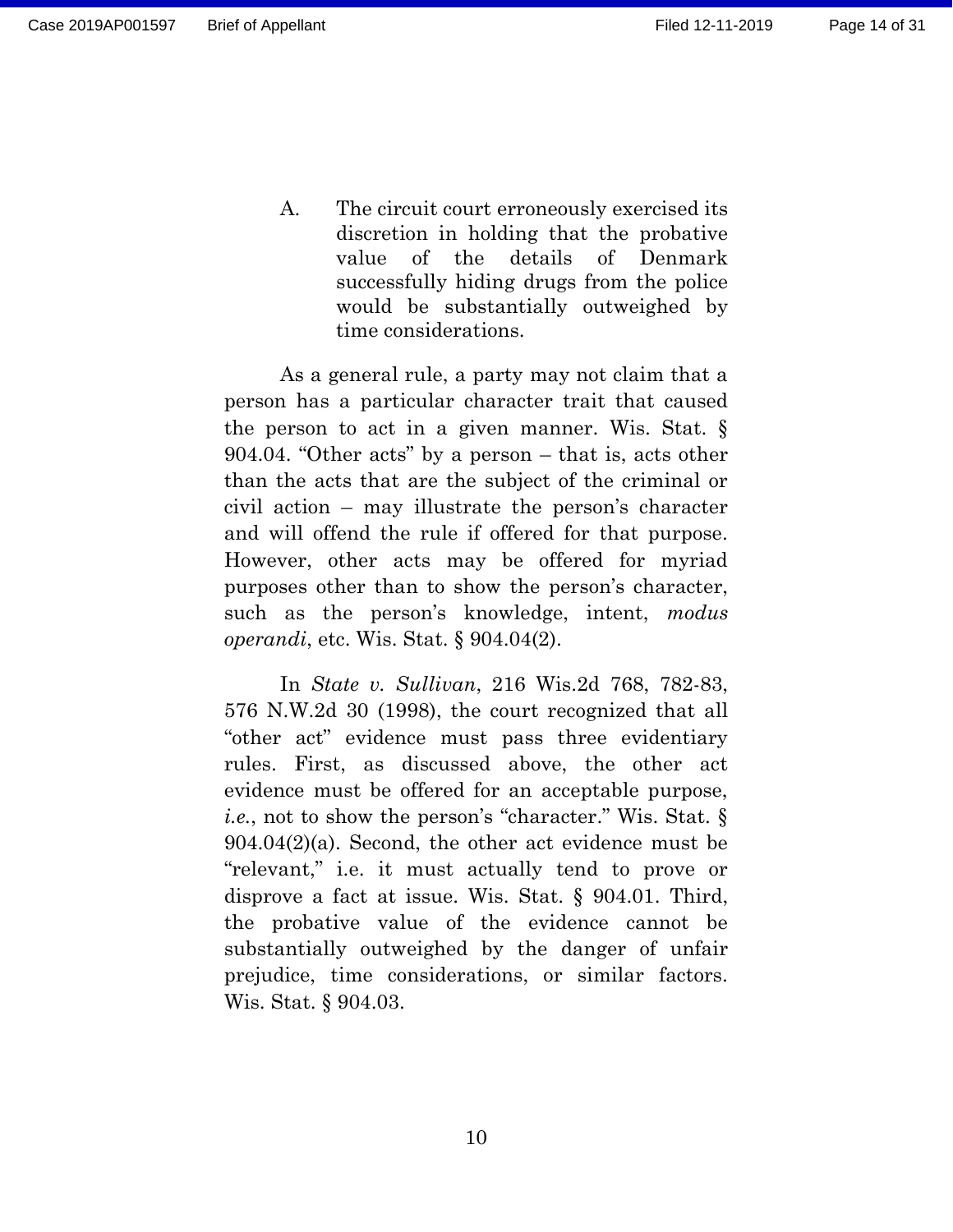Page 14 of 31

<span id="page-13-0"></span>A. The circuit court erroneously exercised its discretion in holding that the probative value of the details of Denmark successfully hiding drugs from the police would be substantially outweighed by time considerations.

As a general rule, a party may not claim that a person has a particular character trait that caused the person to act in a given manner. Wis. Stat. § 904.04. "Other acts" by a person – that is, acts other than the acts that are the subject of the criminal or civil action – may illustrate the person's character and will offend the rule if offered for that purpose. However, other acts may be offered for myriad purposes other than to show the person's character, such as the person's knowledge, intent, *modus operandi*, etc. Wis. Stat. § 904.04(2).

In *State v. Sullivan*, 216 Wis.2d 768, 782-83, 576 N.W.2d 30 (1998), the court recognized that all "other act" evidence must pass three evidentiary rules. First, as discussed above, the other act evidence must be offered for an acceptable purpose, *i.e.*, not to show the person's "character." Wis. Stat. § 904.04(2)(a). Second, the other act evidence must be "relevant," i.e. it must actually tend to prove or disprove a fact at issue. Wis. Stat. § 904.01. Third, the probative value of the evidence cannot be substantially outweighed by the danger of unfair prejudice, time considerations, or similar factors. Wis. Stat. § 904.03.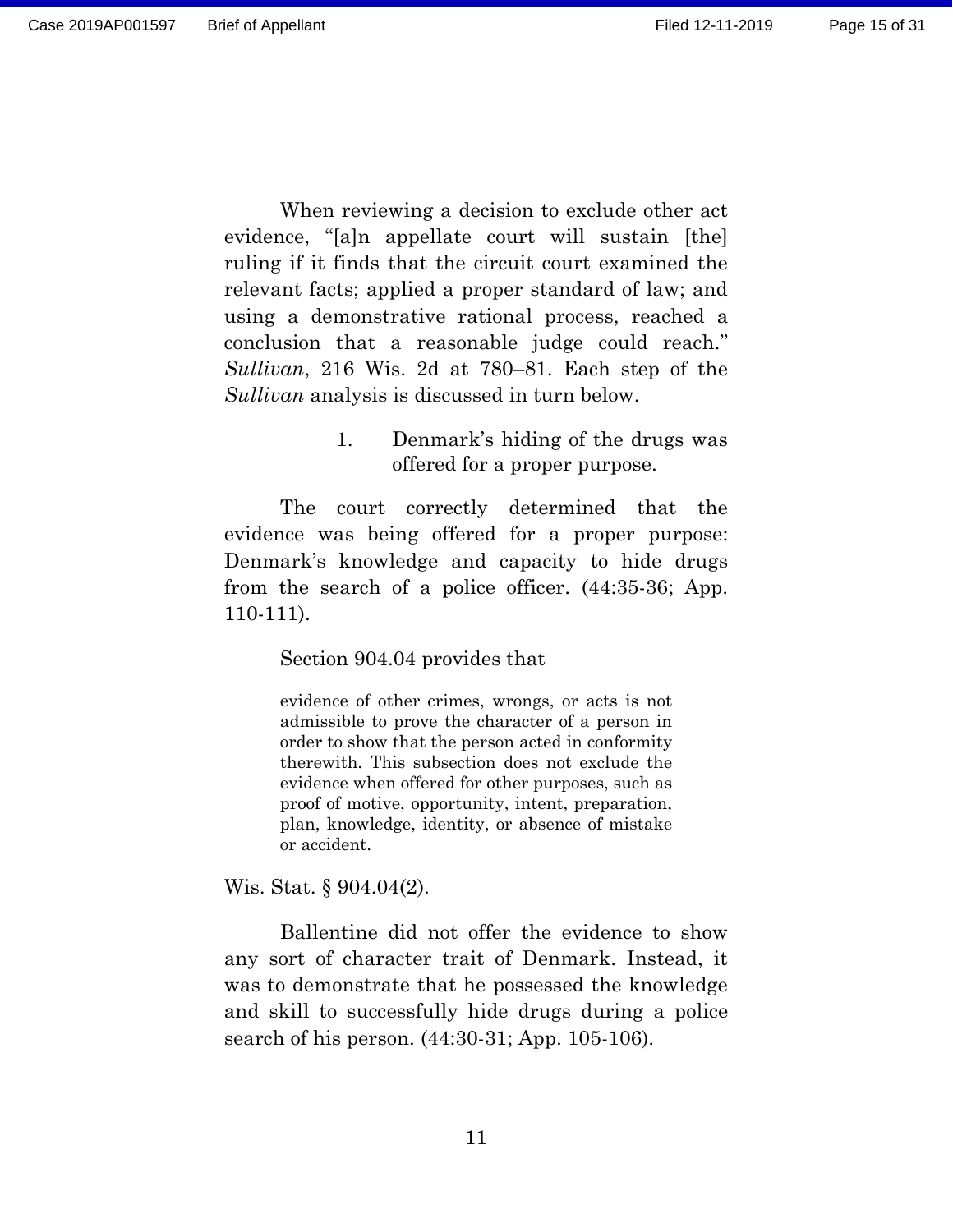Page 15 of 31

When reviewing a decision to exclude other act evidence, "[a]n appellate court will sustain [the] ruling if it finds that the circuit court examined the relevant facts; applied a proper standard of law; and using a demonstrative rational process, reached a conclusion that a reasonable judge could reach." *Sullivan*, 216 Wis. 2d at 780–81. Each step of the *Sullivan* analysis is discussed in turn below.

## 1. Denmark's hiding of the drugs was offered for a proper purpose.

<span id="page-14-0"></span>The court correctly determined that the evidence was being offered for a proper purpose: Denmark's knowledge and capacity to hide drugs from the search of a police officer. (44:35-36; App. 110-111).

Section 904.04 provides that

evidence of other crimes, wrongs, or acts is not admissible to prove the character of a person in order to show that the person acted in conformity therewith. This subsection does not exclude the evidence when offered for other purposes, such as proof of motive, opportunity, intent, preparation, plan, knowledge, identity, or absence of mistake or accident.

Wis. Stat. § 904.04(2).

Ballentine did not offer the evidence to show any sort of character trait of Denmark. Instead, it was to demonstrate that he possessed the knowledge and skill to successfully hide drugs during a police search of his person. (44:30-31; App. 105-106).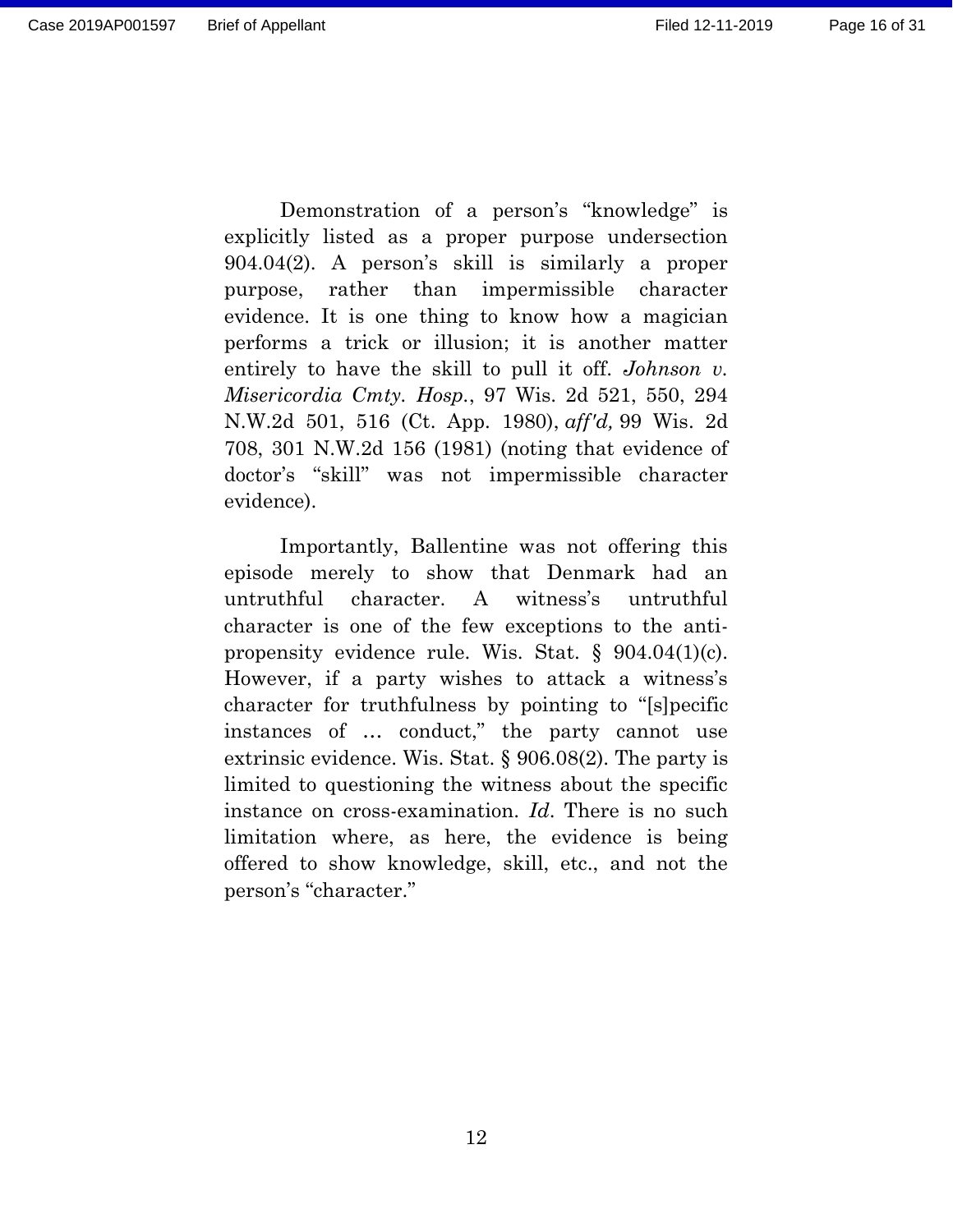Page 16 of 31

Demonstration of a person's "knowledge" is explicitly listed as a proper purpose undersection 904.04(2). A person's skill is similarly a proper purpose, rather than impermissible character evidence. It is one thing to know how a magician performs a trick or illusion; it is another matter entirely to have the skill to pull it off. *Johnson v. Misericordia Cmty. Hosp.*, 97 Wis. 2d 521, 550, 294 N.W.2d 501, 516 (Ct. App. 1980), *aff'd,* 99 Wis. 2d 708, 301 N.W.2d 156 (1981) (noting that evidence of doctor's "skill" was not impermissible character evidence).

Importantly, Ballentine was not offering this episode merely to show that Denmark had an untruthful character. A witness's untruthful character is one of the few exceptions to the antipropensity evidence rule. Wis. Stat. § 904.04(1)(c). However, if a party wishes to attack a witness's character for truthfulness by pointing to "[s]pecific instances of … conduct," the party cannot use extrinsic evidence. Wis. Stat. § 906.08(2). The party is limited to questioning the witness about the specific instance on cross-examination. *Id*. There is no such limitation where, as here, the evidence is being offered to show knowledge, skill, etc., and not the person's "character."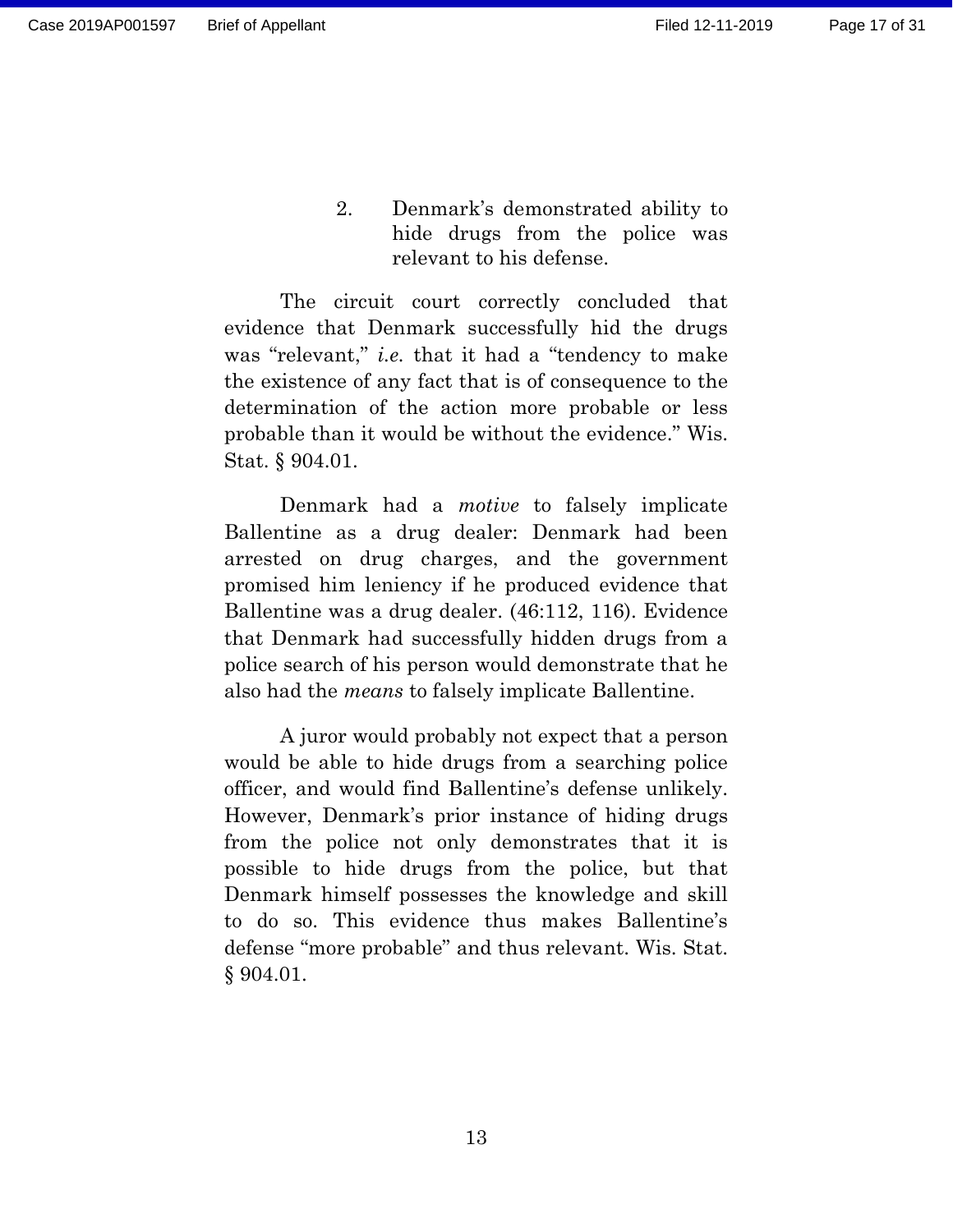2. Denmark's demonstrated ability to hide drugs from the police was relevant to his defense.

<span id="page-16-0"></span>The circuit court correctly concluded that evidence that Denmark successfully hid the drugs was "relevant," *i.e.* that it had a "tendency to make the existence of any fact that is of consequence to the determination of the action more probable or less probable than it would be without the evidence." Wis. Stat. § 904.01.

Denmark had a *motive* to falsely implicate Ballentine as a drug dealer: Denmark had been arrested on drug charges, and the government promised him leniency if he produced evidence that Ballentine was a drug dealer. (46:112, 116). Evidence that Denmark had successfully hidden drugs from a police search of his person would demonstrate that he also had the *means* to falsely implicate Ballentine.

A juror would probably not expect that a person would be able to hide drugs from a searching police officer, and would find Ballentine's defense unlikely. However, Denmark's prior instance of hiding drugs from the police not only demonstrates that it is possible to hide drugs from the police, but that Denmark himself possesses the knowledge and skill to do so. This evidence thus makes Ballentine's defense "more probable" and thus relevant. Wis. Stat. § 904.01.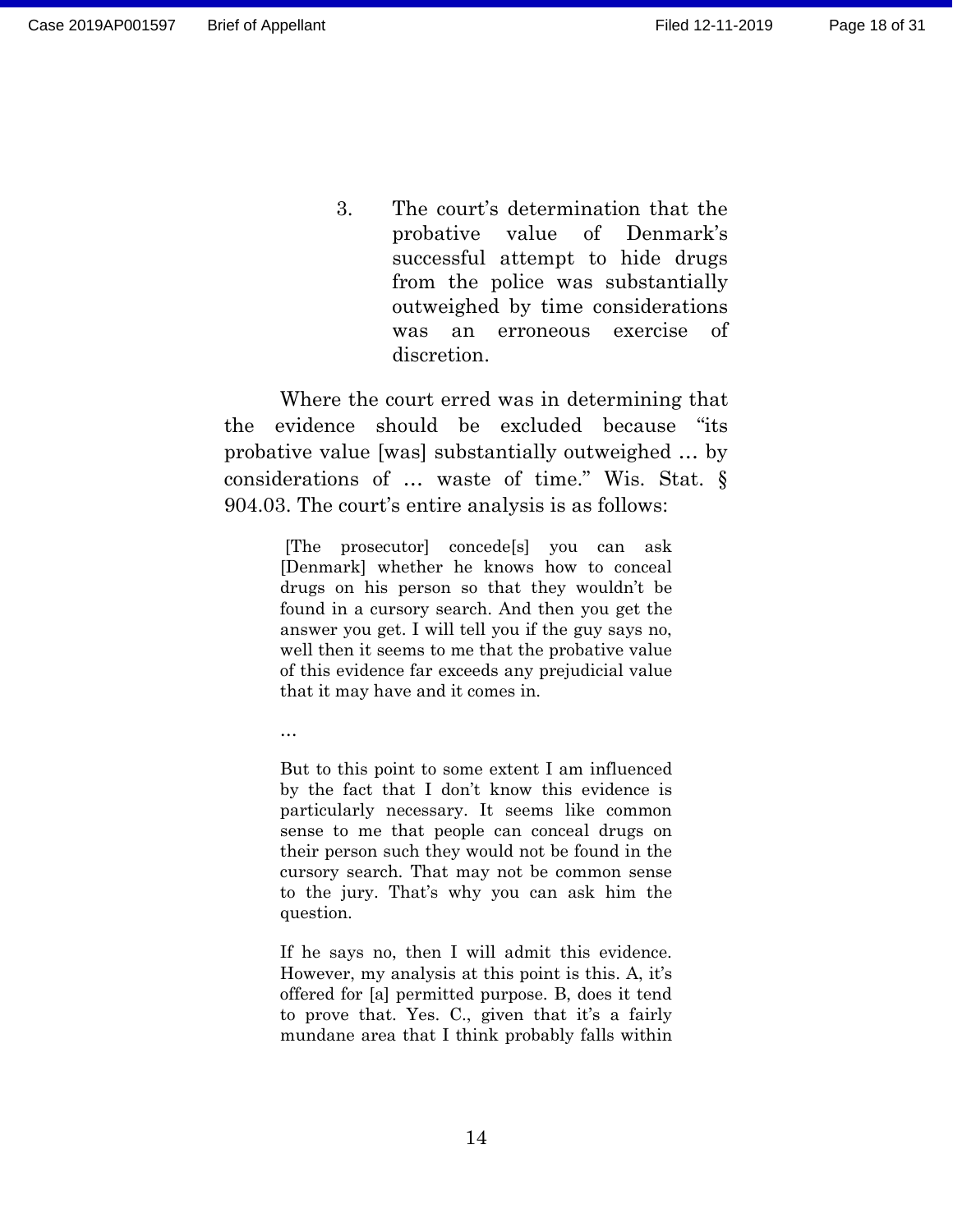<span id="page-17-0"></span>3. The court's determination that the probative value of Denmark's successful attempt to hide drugs from the police was substantially outweighed by time considerations was an erroneous exercise of discretion.

Where the court erred was in determining that the evidence should be excluded because "its probative value [was] substantially outweighed … by considerations of … waste of time." Wis. Stat. § 904.03. The court's entire analysis is as follows:

> [The prosecutor] concede[s] you can ask [Denmark] whether he knows how to conceal drugs on his person so that they wouldn't be found in a cursory search. And then you get the answer you get. I will tell you if the guy says no, well then it seems to me that the probative value of this evidence far exceeds any prejudicial value that it may have and it comes in.

…

But to this point to some extent I am influenced by the fact that I don't know this evidence is particularly necessary. It seems like common sense to me that people can conceal drugs on their person such they would not be found in the cursory search. That may not be common sense to the jury. That's why you can ask him the question.

If he says no, then I will admit this evidence. However, my analysis at this point is this. A, it's offered for [a] permitted purpose. B, does it tend to prove that. Yes. C., given that it's a fairly mundane area that I think probably falls within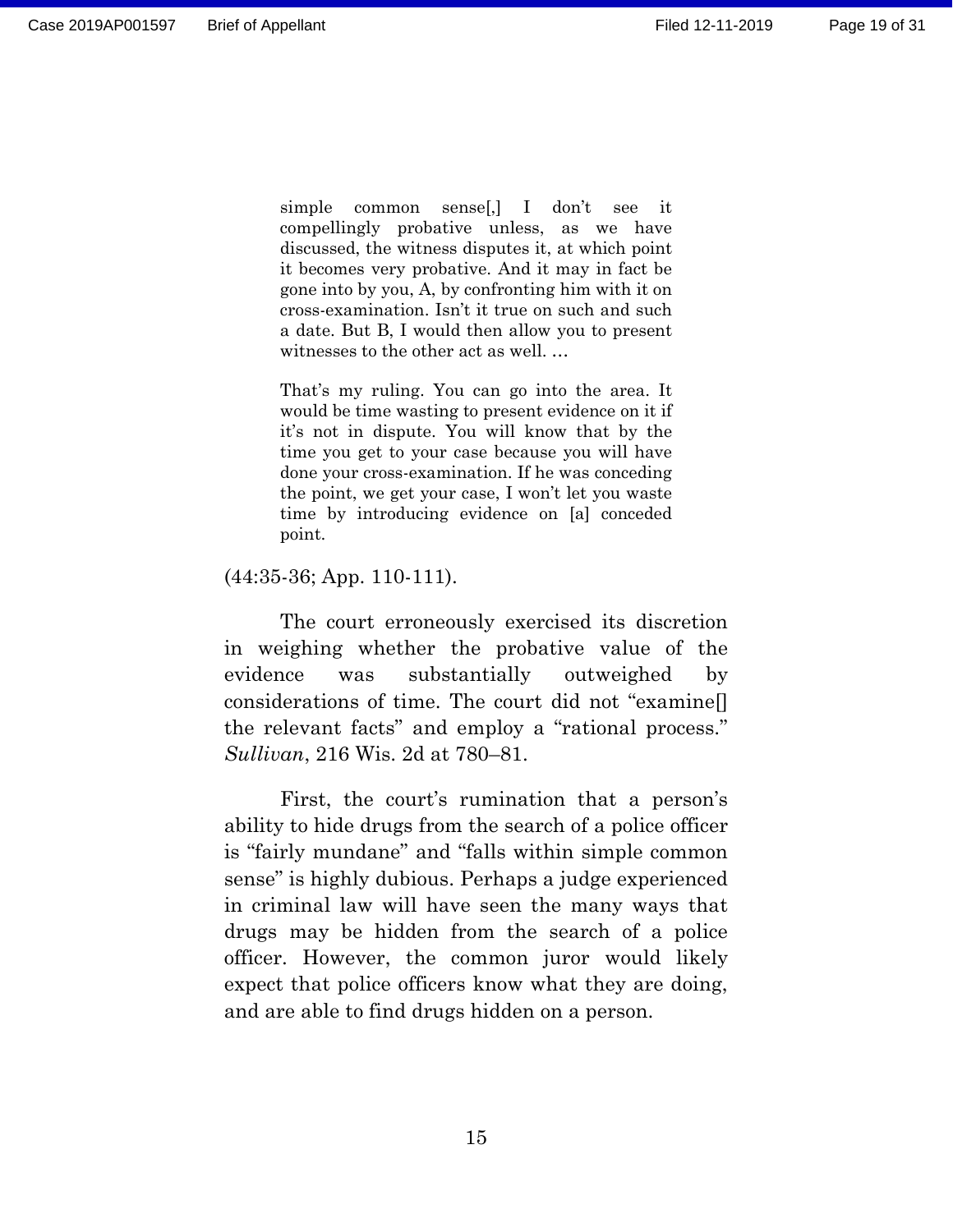simple common sense[,] I don't see it compellingly probative unless, as we have discussed, the witness disputes it, at which point it becomes very probative. And it may in fact be gone into by you, A, by confronting him with it on cross-examination. Isn't it true on such and such a date. But B, I would then allow you to present witnesses to the other act as well. …

That's my ruling. You can go into the area. It would be time wasting to present evidence on it if it's not in dispute. You will know that by the time you get to your case because you will have done your cross-examination. If he was conceding the point, we get your case, I won't let you waste time by introducing evidence on [a] conceded point.

(44:35-36; App. 110-111).

The court erroneously exercised its discretion in weighing whether the probative value of the evidence was substantially outweighed by considerations of time. The court did not "examine[] the relevant facts" and employ a "rational process." *Sullivan*, 216 Wis. 2d at 780–81.

First, the court's rumination that a person's ability to hide drugs from the search of a police officer is "fairly mundane" and "falls within simple common sense" is highly dubious. Perhaps a judge experienced in criminal law will have seen the many ways that drugs may be hidden from the search of a police officer. However, the common juror would likely expect that police officers know what they are doing, and are able to find drugs hidden on a person.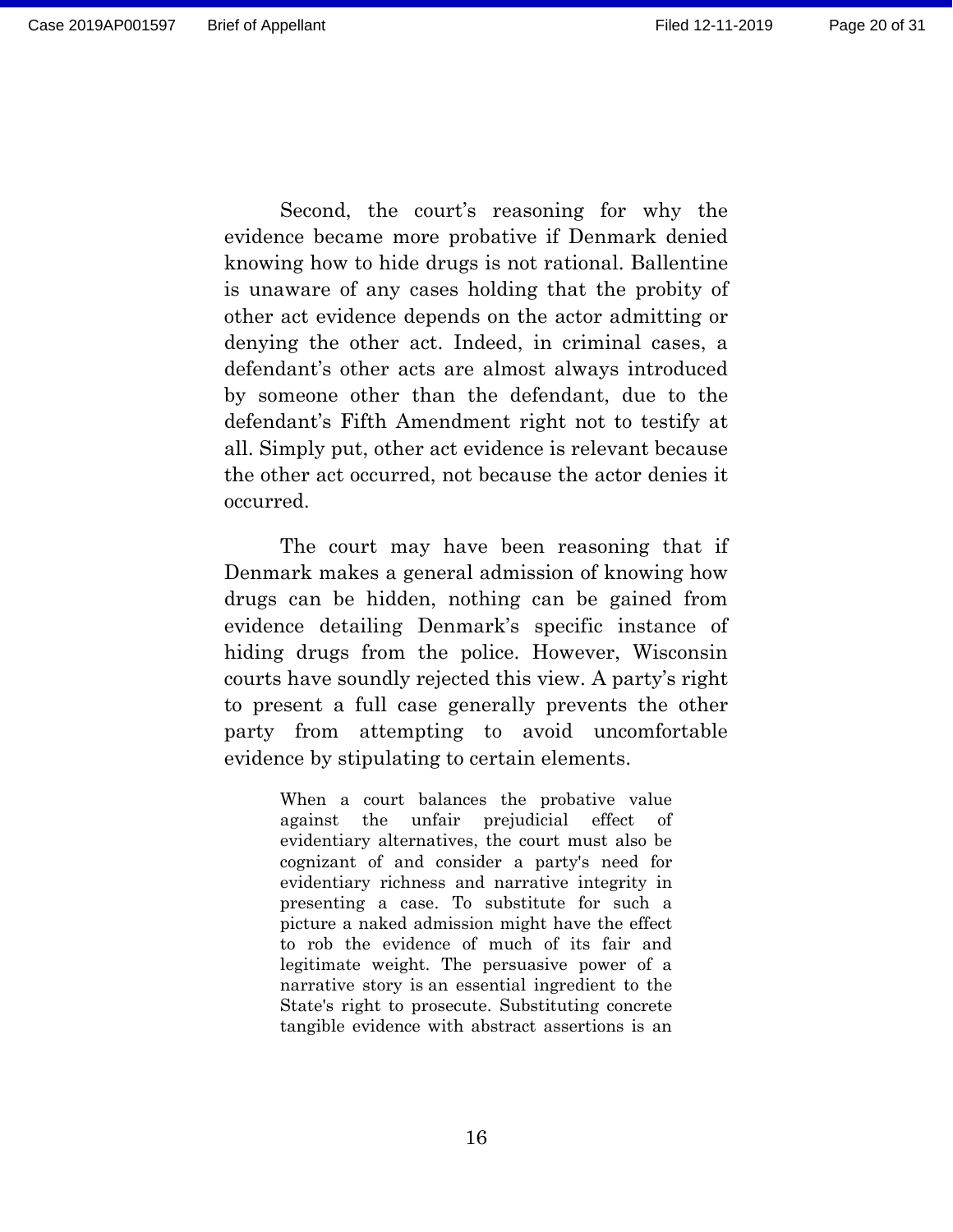Second, the court's reasoning for why the evidence became more probative if Denmark denied knowing how to hide drugs is not rational. Ballentine is unaware of any cases holding that the probity of other act evidence depends on the actor admitting or denying the other act. Indeed, in criminal cases, a defendant's other acts are almost always introduced by someone other than the defendant, due to the defendant's Fifth Amendment right not to testify at all. Simply put, other act evidence is relevant because the other act occurred, not because the actor denies it occurred.

The court may have been reasoning that if Denmark makes a general admission of knowing how drugs can be hidden, nothing can be gained from evidence detailing Denmark's specific instance of hiding drugs from the police. However, Wisconsin courts have soundly rejected this view. A party's right to present a full case generally prevents the other party from attempting to avoid uncomfortable evidence by stipulating to certain elements.

> When a court balances the probative value against the unfair prejudicial effect of evidentiary alternatives, the court must also be cognizant of and consider a party's need for evidentiary richness and narrative integrity in presenting a case. To substitute for such a picture a naked admission might have the effect to rob the evidence of much of its fair and legitimate weight. The persuasive power of a narrative story is an essential ingredient to the State's right to prosecute. Substituting concrete tangible evidence with abstract assertions is an

> > 16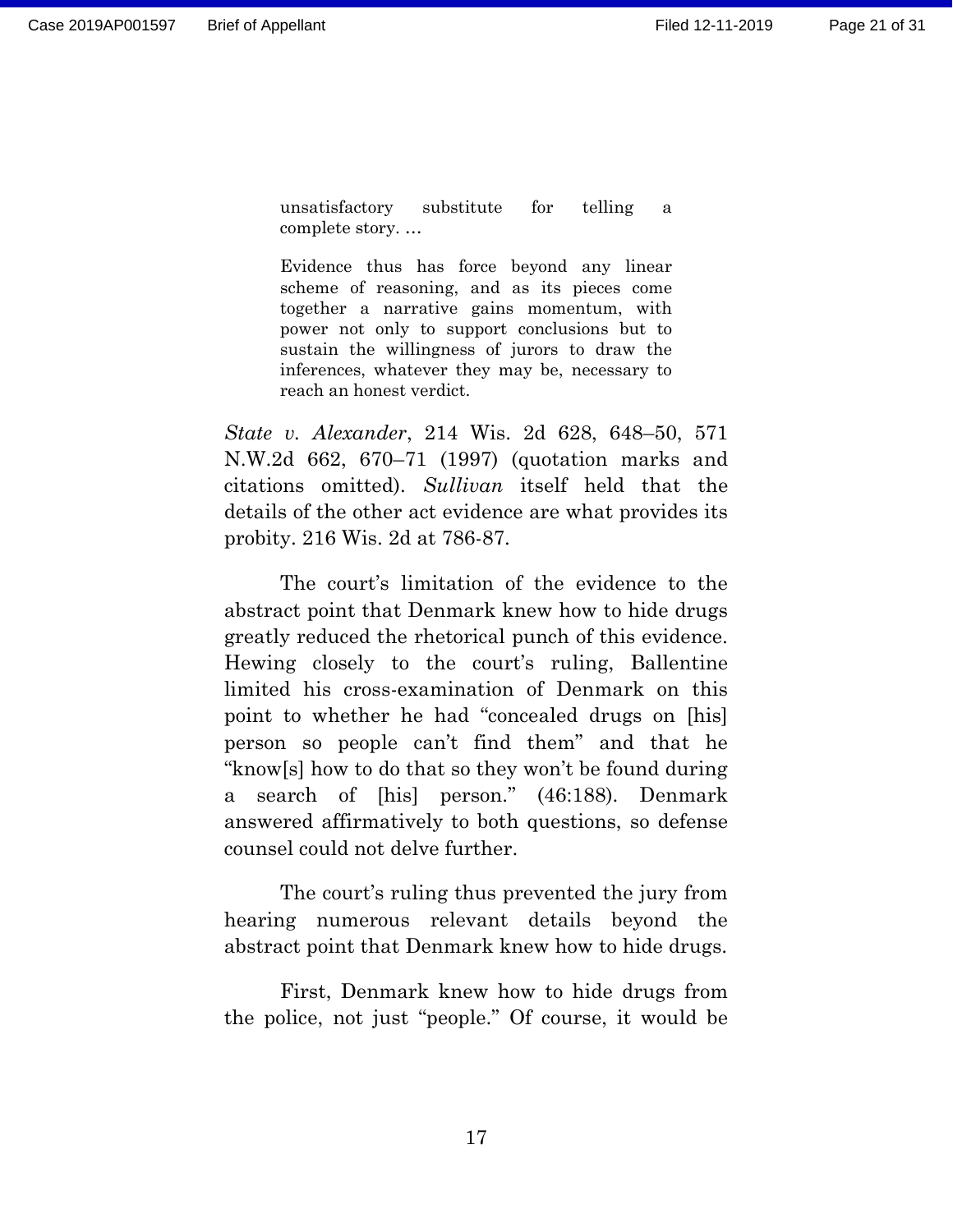unsatisfactory substitute for telling a complete story. …

Evidence thus has force beyond any linear scheme of reasoning, and as its pieces come together a narrative gains momentum, with power not only to support conclusions but to sustain the willingness of jurors to draw the inferences, whatever they may be, necessary to reach an honest verdict.

*State v. Alexander*, 214 Wis. 2d 628, 648–50, 571 N.W.2d 662, 670–71 (1997) (quotation marks and citations omitted). *Sullivan* itself held that the details of the other act evidence are what provides its probity. 216 Wis. 2d at 786-87.

The court's limitation of the evidence to the abstract point that Denmark knew how to hide drugs greatly reduced the rhetorical punch of this evidence. Hewing closely to the court's ruling, Ballentine limited his cross-examination of Denmark on this point to whether he had "concealed drugs on [his] person so people can't find them" and that he "know[s] how to do that so they won't be found during a search of [his] person." (46:188). Denmark answered affirmatively to both questions, so defense counsel could not delve further.

The court's ruling thus prevented the jury from hearing numerous relevant details beyond the abstract point that Denmark knew how to hide drugs.

First, Denmark knew how to hide drugs from the police, not just "people." Of course, it would be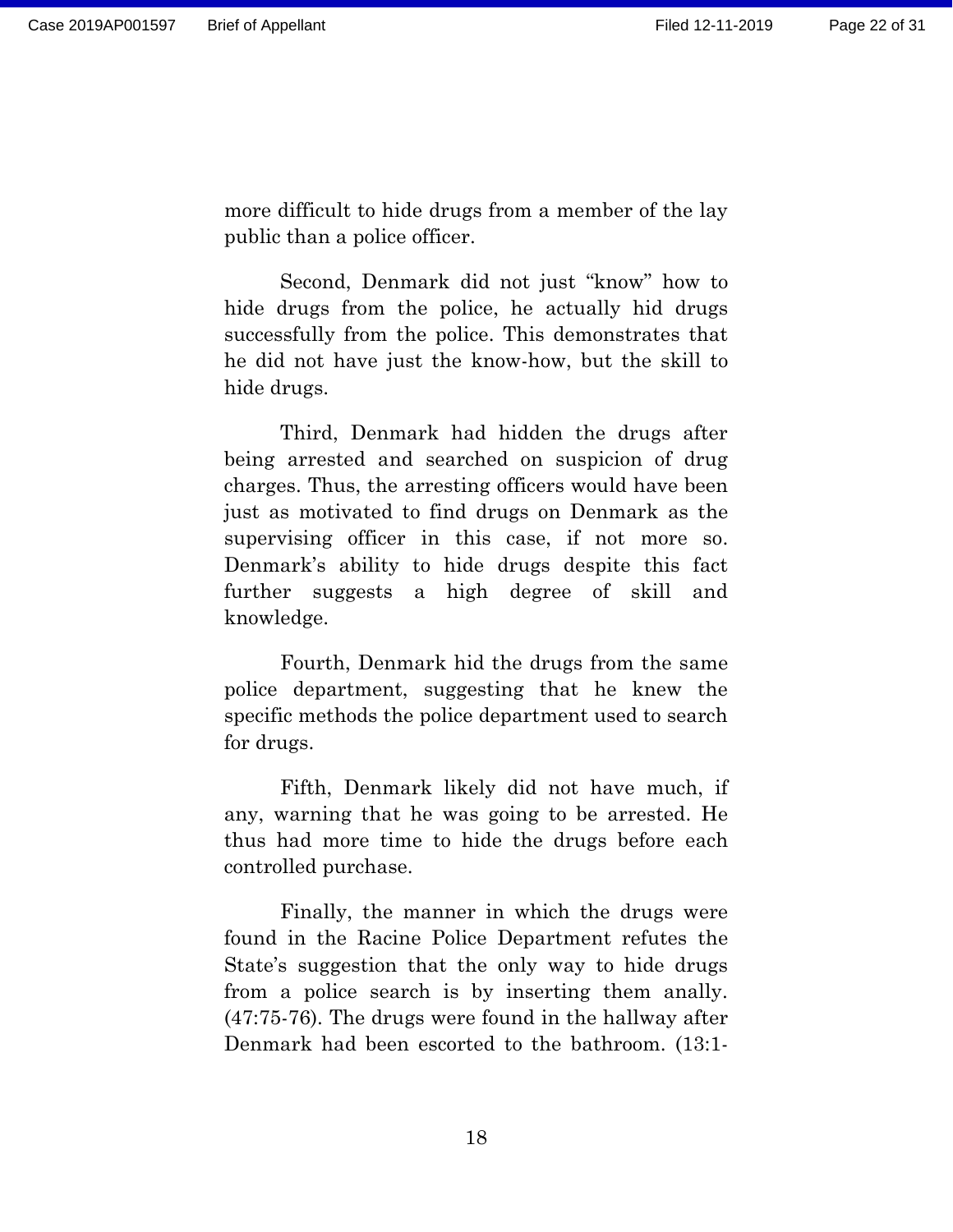more difficult to hide drugs from a member of the lay public than a police officer.

Second, Denmark did not just "know" how to hide drugs from the police, he actually hid drugs successfully from the police. This demonstrates that he did not have just the know-how, but the skill to hide drugs.

Third, Denmark had hidden the drugs after being arrested and searched on suspicion of drug charges. Thus, the arresting officers would have been just as motivated to find drugs on Denmark as the supervising officer in this case, if not more so. Denmark's ability to hide drugs despite this fact further suggests a high degree of skill and knowledge.

Fourth, Denmark hid the drugs from the same police department, suggesting that he knew the specific methods the police department used to search for drugs.

Fifth, Denmark likely did not have much, if any, warning that he was going to be arrested. He thus had more time to hide the drugs before each controlled purchase.

Finally, the manner in which the drugs were found in the Racine Police Department refutes the State's suggestion that the only way to hide drugs from a police search is by inserting them anally. (47:75-76). The drugs were found in the hallway after Denmark had been escorted to the bathroom. (13:1-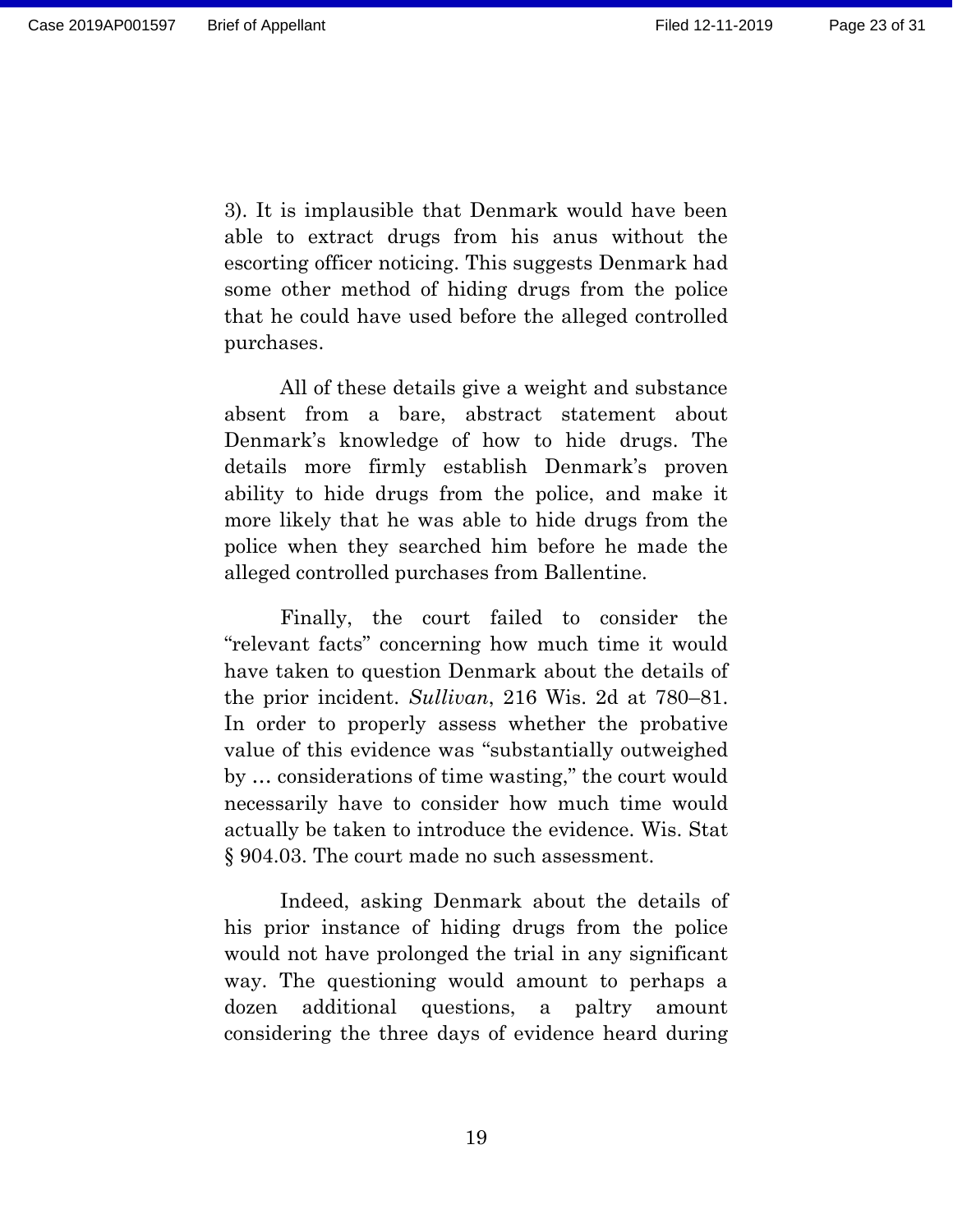3). It is implausible that Denmark would have been able to extract drugs from his anus without the escorting officer noticing. This suggests Denmark had some other method of hiding drugs from the police that he could have used before the alleged controlled purchases.

All of these details give a weight and substance absent from a bare, abstract statement about Denmark's knowledge of how to hide drugs. The details more firmly establish Denmark's proven ability to hide drugs from the police, and make it more likely that he was able to hide drugs from the police when they searched him before he made the alleged controlled purchases from Ballentine.

Finally, the court failed to consider the "relevant facts" concerning how much time it would have taken to question Denmark about the details of the prior incident. *Sullivan*, 216 Wis. 2d at 780–81. In order to properly assess whether the probative value of this evidence was "substantially outweighed by … considerations of time wasting," the court would necessarily have to consider how much time would actually be taken to introduce the evidence. Wis. Stat § 904.03. The court made no such assessment.

Indeed, asking Denmark about the details of his prior instance of hiding drugs from the police would not have prolonged the trial in any significant way. The questioning would amount to perhaps a dozen additional questions, a paltry amount considering the three days of evidence heard during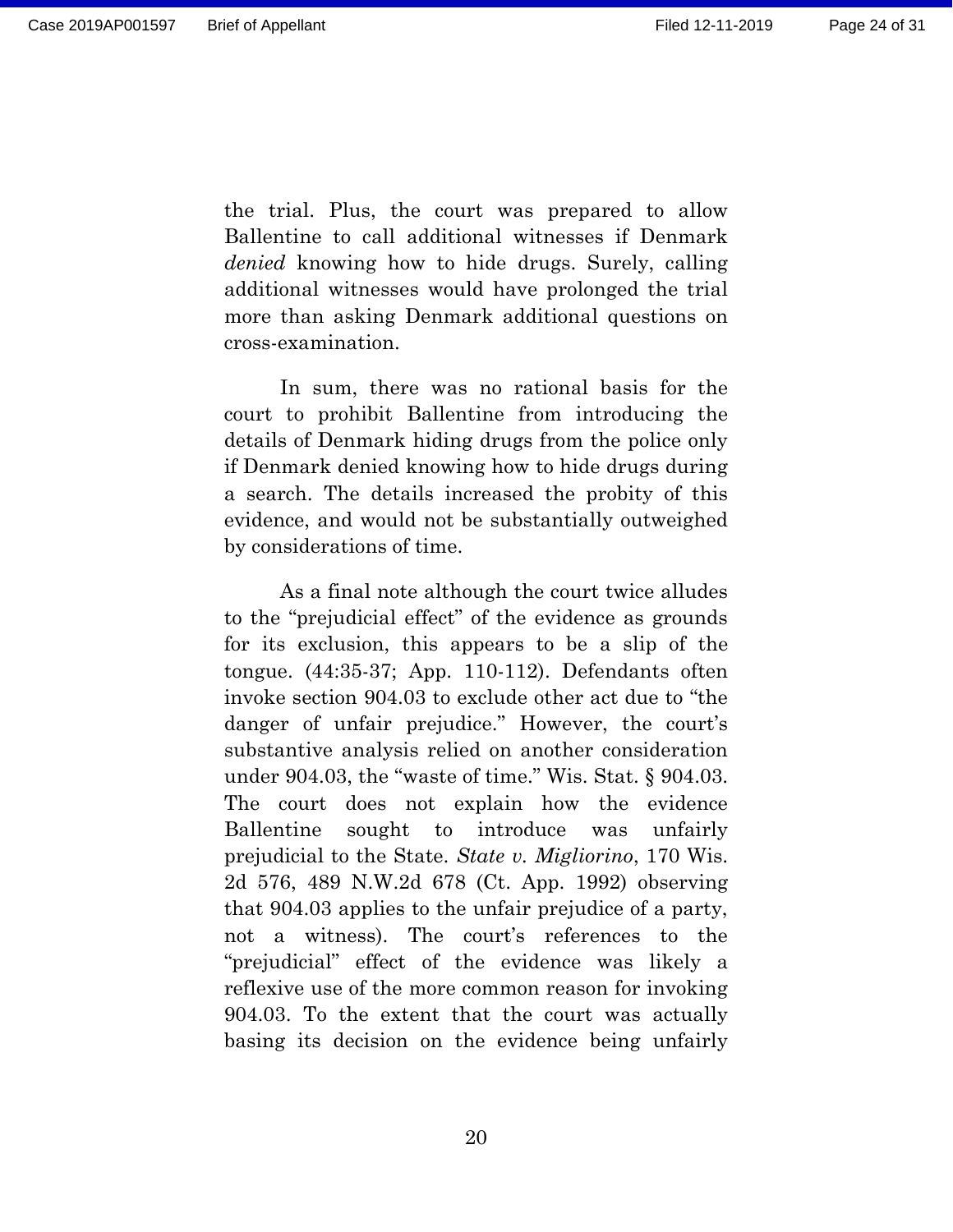the trial. Plus, the court was prepared to allow Ballentine to call additional witnesses if Denmark *denied* knowing how to hide drugs. Surely, calling additional witnesses would have prolonged the trial more than asking Denmark additional questions on cross-examination.

In sum, there was no rational basis for the court to prohibit Ballentine from introducing the details of Denmark hiding drugs from the police only if Denmark denied knowing how to hide drugs during a search. The details increased the probity of this evidence, and would not be substantially outweighed by considerations of time.

As a final note although the court twice alludes to the "prejudicial effect" of the evidence as grounds for its exclusion, this appears to be a slip of the tongue. (44:35-37; App. 110-112). Defendants often invoke section 904.03 to exclude other act due to "the danger of unfair prejudice." However, the court's substantive analysis relied on another consideration under 904.03, the "waste of time." Wis. Stat. § 904.03. The court does not explain how the evidence Ballentine sought to introduce was unfairly prejudicial to the State. *State v. Migliorino*, 170 Wis. 2d 576, 489 N.W.2d 678 (Ct. App. 1992) observing that 904.03 applies to the unfair prejudice of a party, not a witness). The court's references to the "prejudicial" effect of the evidence was likely a reflexive use of the more common reason for invoking 904.03. To the extent that the court was actually basing its decision on the evidence being unfairly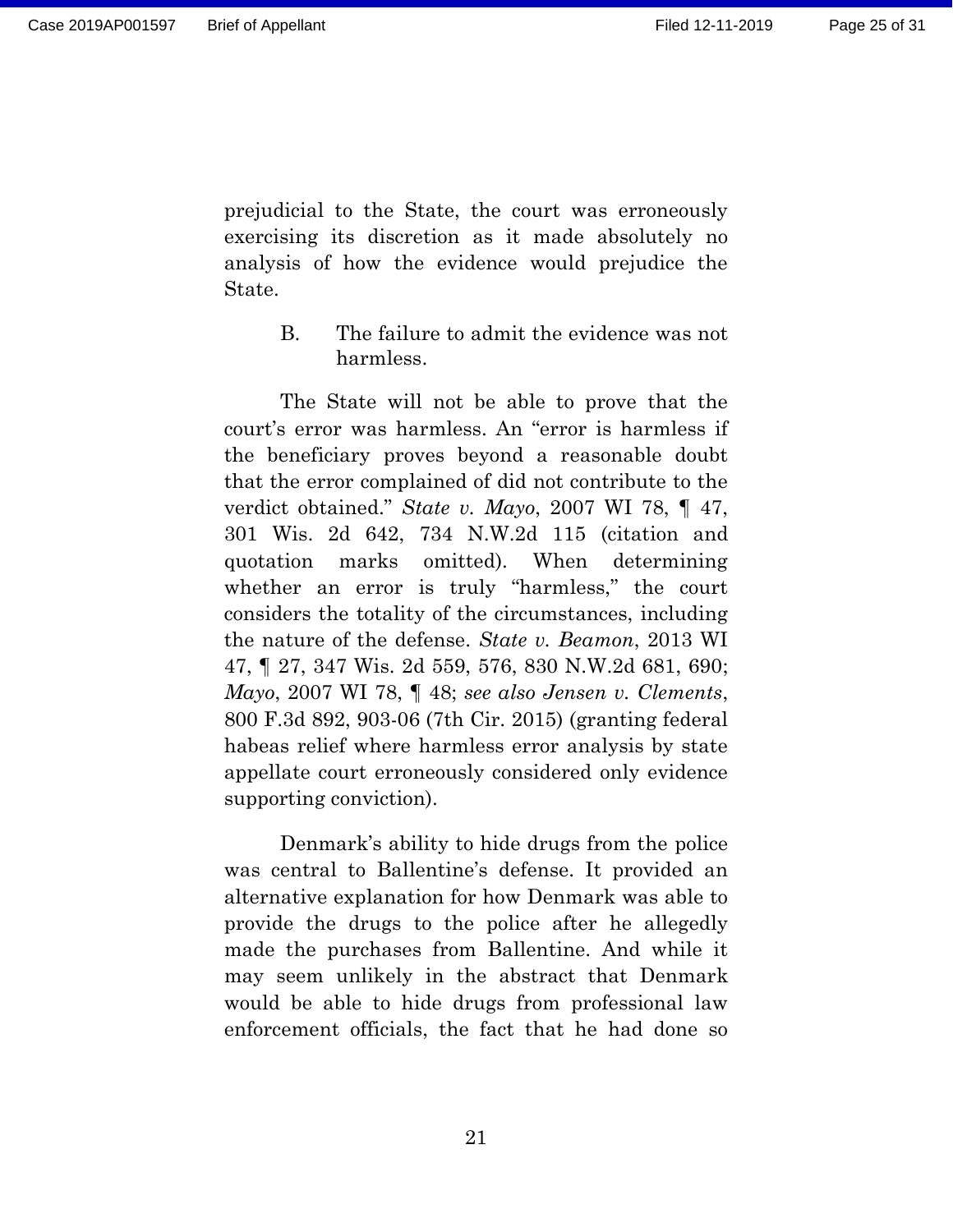prejudicial to the State, the court was erroneously exercising its discretion as it made absolutely no analysis of how the evidence would prejudice the State.

> <span id="page-24-0"></span>B. The failure to admit the evidence was not harmless.

The State will not be able to prove that the court's error was harmless. An "error is harmless if the beneficiary proves beyond a reasonable doubt that the error complained of did not contribute to the verdict obtained." *State v. Mayo*, 2007 WI 78, ¶ 47, 301 Wis. 2d 642, 734 N.W.2d 115 (citation and quotation marks omitted). When determining whether an error is truly "harmless," the court considers the totality of the circumstances, including the nature of the defense. *State v. Beamon*, 2013 WI 47, ¶ 27, 347 Wis. 2d 559, 576, 830 N.W.2d 681, 690; *Mayo*, 2007 WI 78, ¶ 48; *see also Jensen v. Clements*, 800 F.3d 892, 903-06 (7th Cir. 2015) (granting federal habeas relief where harmless error analysis by state appellate court erroneously considered only evidence supporting conviction).

Denmark's ability to hide drugs from the police was central to Ballentine's defense. It provided an alternative explanation for how Denmark was able to provide the drugs to the police after he allegedly made the purchases from Ballentine. And while it may seem unlikely in the abstract that Denmark would be able to hide drugs from professional law enforcement officials, the fact that he had done so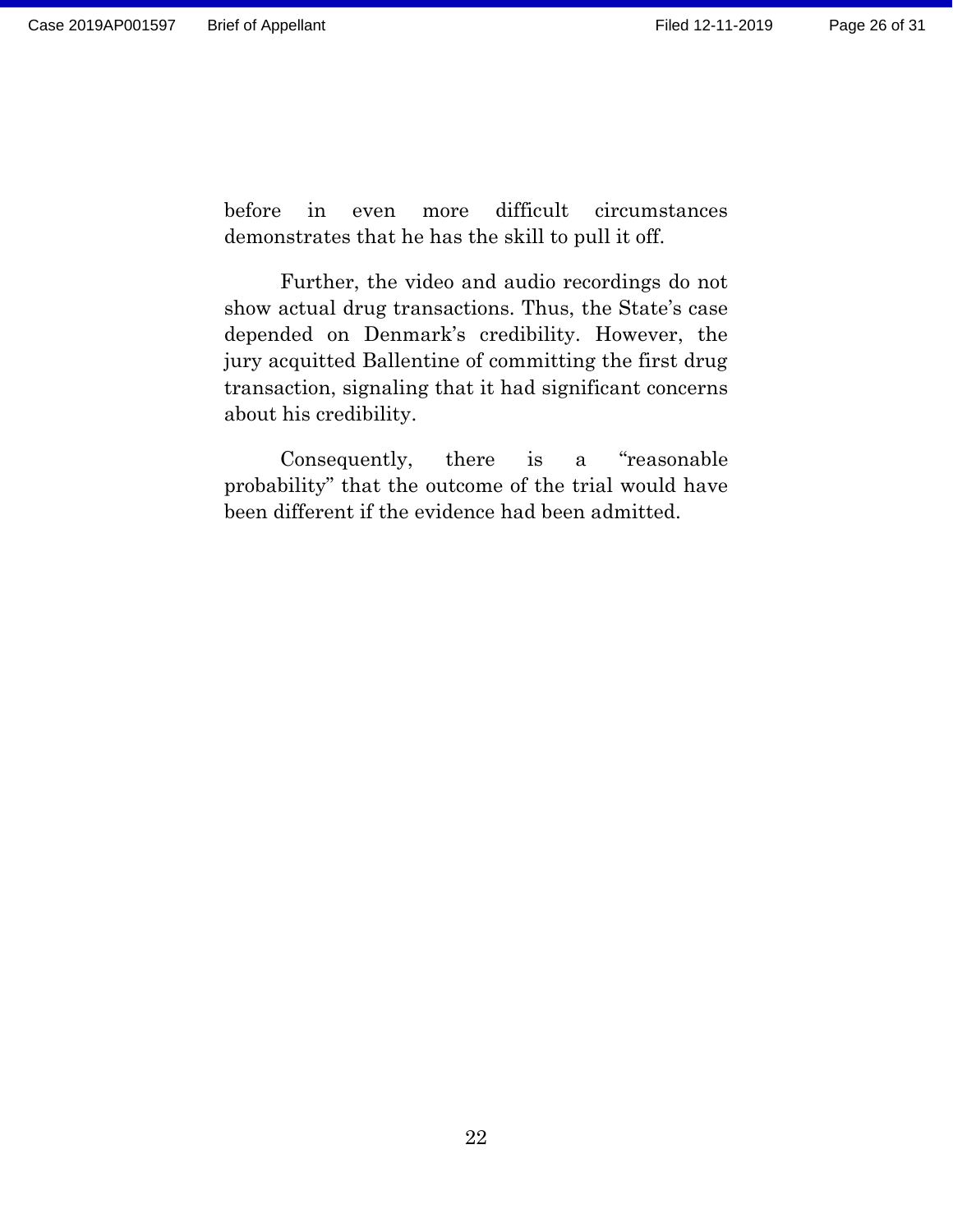before in even more difficult circumstances demonstrates that he has the skill to pull it off.

Further, the video and audio recordings do not show actual drug transactions. Thus, the State's case depended on Denmark's credibility. However, the jury acquitted Ballentine of committing the first drug transaction, signaling that it had significant concerns about his credibility.

Consequently, there is a "reasonable probability" that the outcome of the trial would have been different if the evidence had been admitted.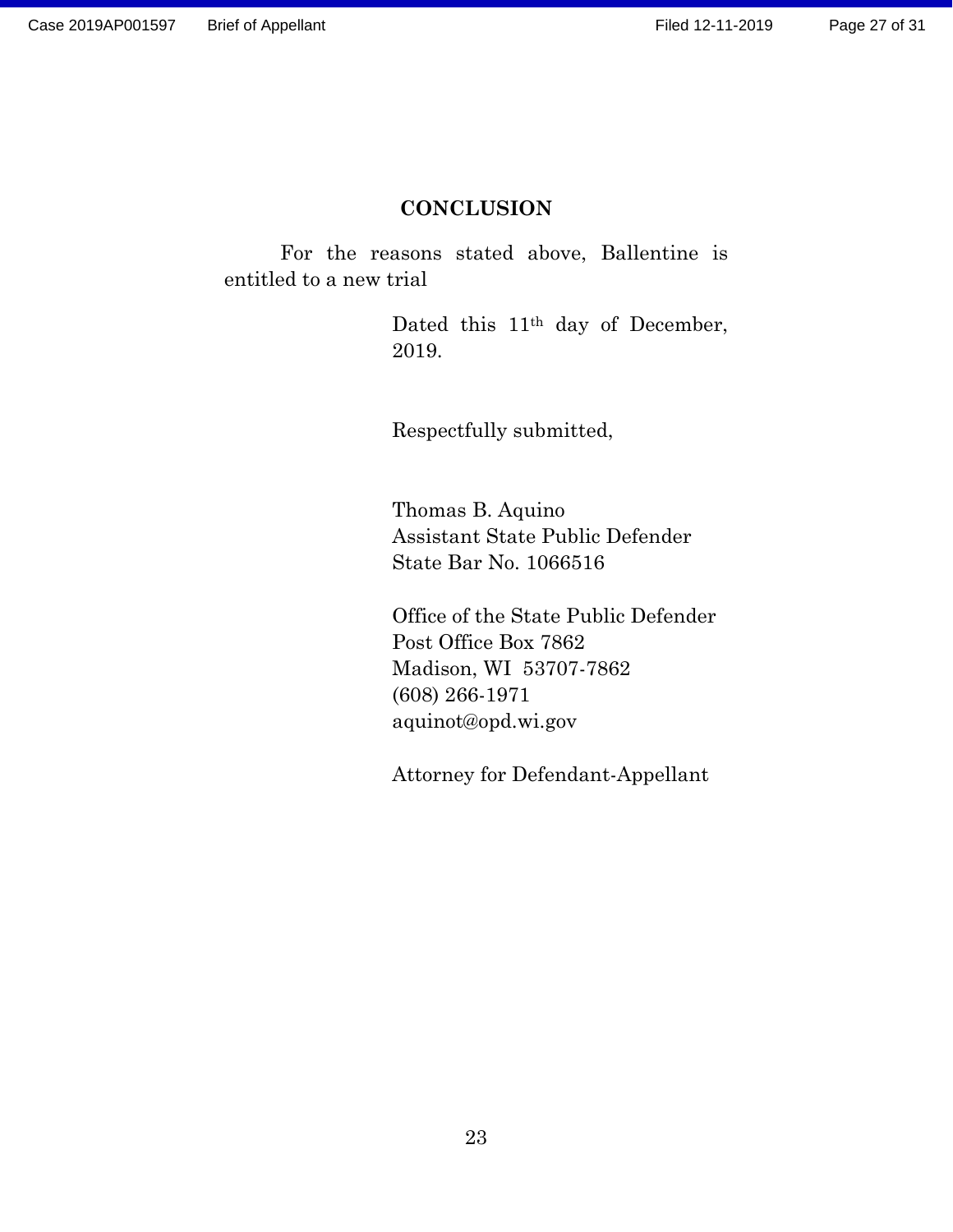## **CONCLUSION**

<span id="page-26-0"></span>For the reasons stated above, Ballentine is entitled to a new trial

> Dated this 11<sup>th</sup> day of December, 2019.

Respectfully submitted,

Thomas B. Aquino Assistant State Public Defender State Bar No. 1066516

Office of the State Public Defender Post Office Box 7862 Madison, WI 53707-7862 (608) 266-1971 aquinot@opd.wi.gov

Attorney for Defendant-Appellant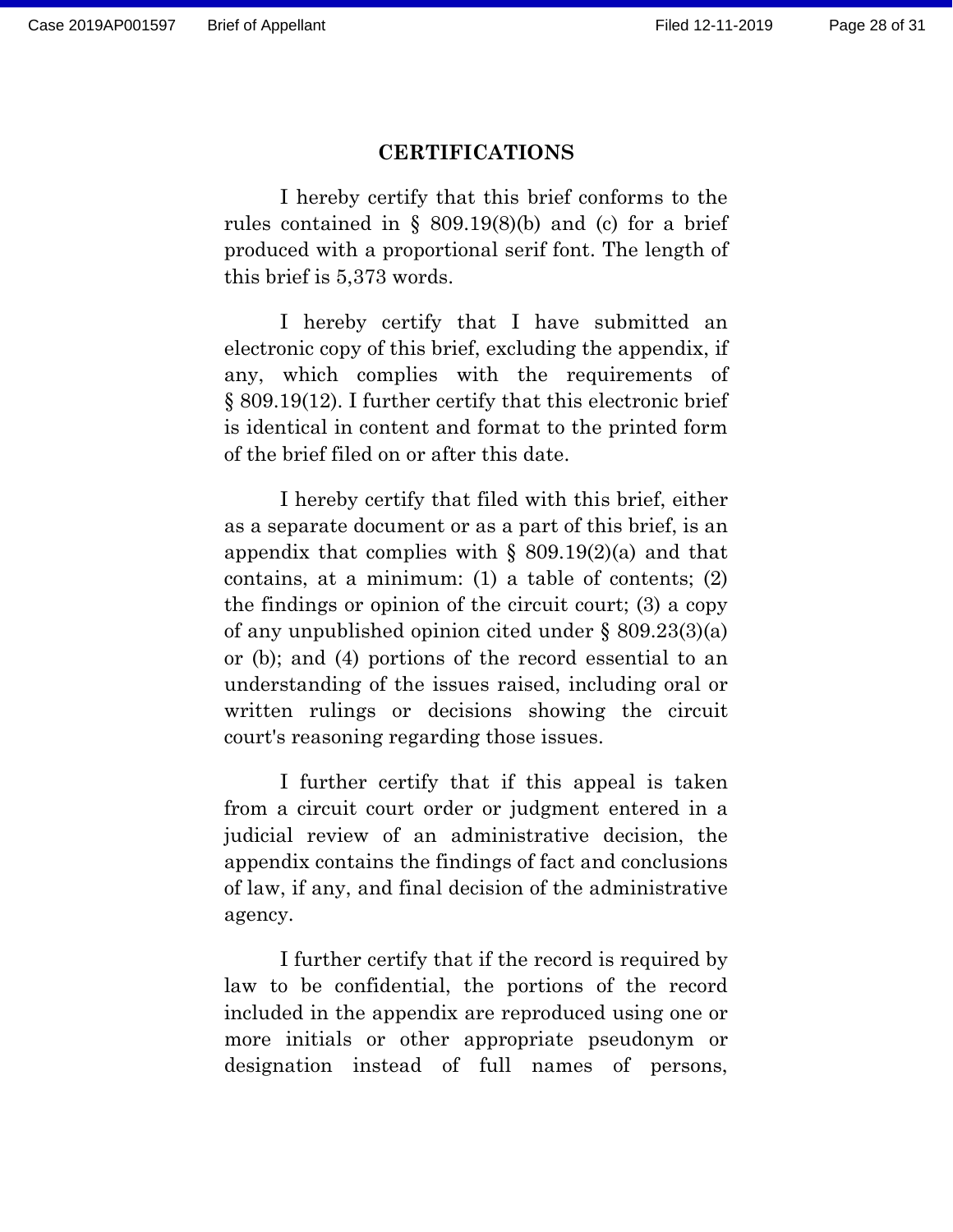#### **CERTIFICATIONS**

<span id="page-27-0"></span>I hereby certify that this brief conforms to the rules contained in  $\S$  809.19(8)(b) and (c) for a brief produced with a proportional serif font. The length of this brief is 5,373 words.

I hereby certify that I have submitted an electronic copy of this brief, excluding the appendix, if any, which complies with the requirements of § 809.19(12). I further certify that this electronic brief is identical in content and format to the printed form of the brief filed on or after this date.

I hereby certify that filed with this brief, either as a separate document or as a part of this brief, is an appendix that complies with  $\S$  809.19(2)(a) and that contains, at a minimum: (1) a table of contents; (2) the findings or opinion of the circuit court; (3) a copy of any unpublished opinion cited under § 809.23(3)(a) or (b); and (4) portions of the record essential to an understanding of the issues raised, including oral or written rulings or decisions showing the circuit court's reasoning regarding those issues.

I further certify that if this appeal is taken from a circuit court order or judgment entered in a judicial review of an administrative decision, the appendix contains the findings of fact and conclusions of law, if any, and final decision of the administrative agency.

I further certify that if the record is required by law to be confidential, the portions of the record included in the appendix are reproduced using one or more initials or other appropriate pseudonym or designation instead of full names of persons,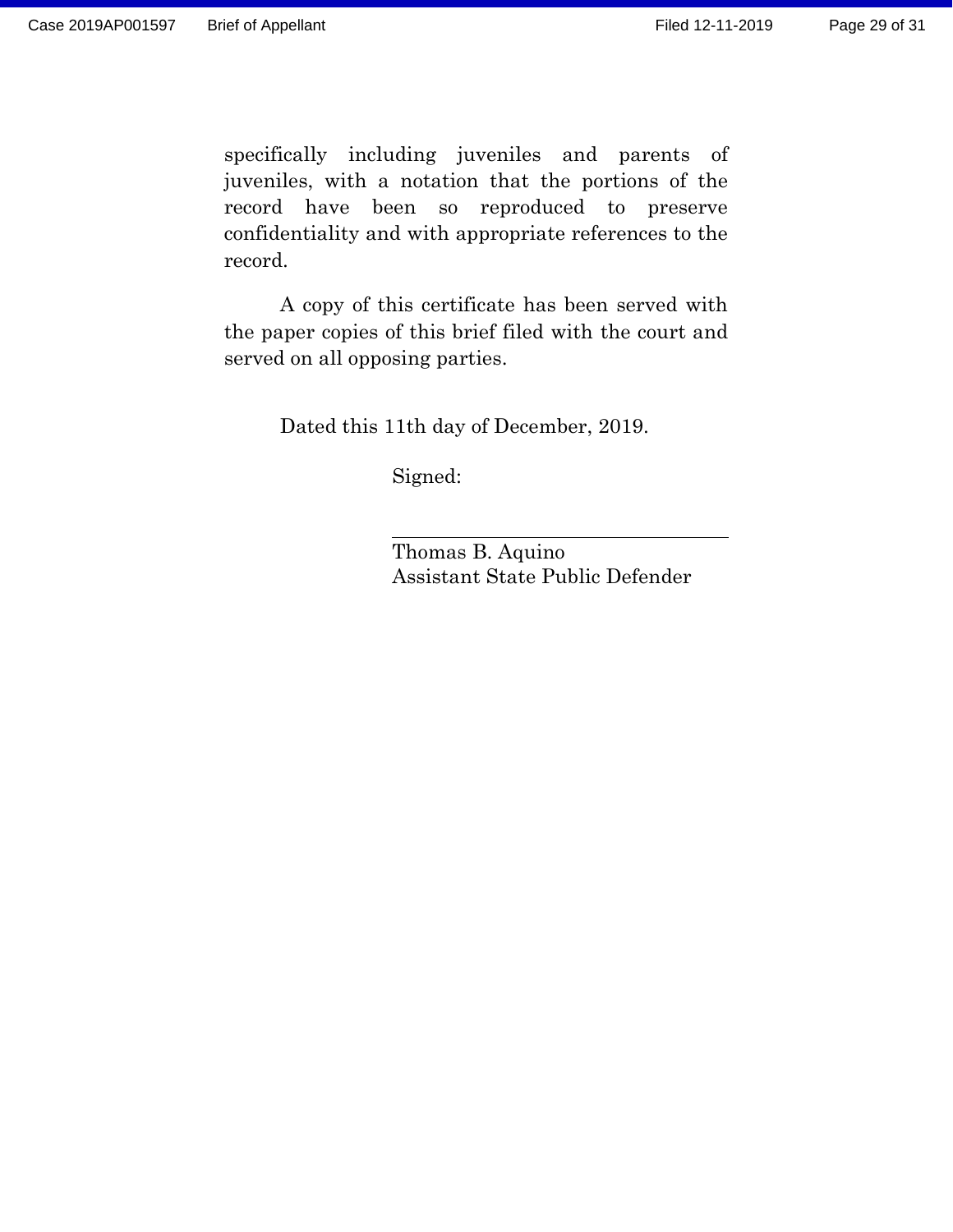specifically including juveniles and parents of juveniles, with a notation that the portions of the record have been so reproduced to preserve confidentiality and with appropriate references to the record.

A copy of this certificate has been served with the paper copies of this brief filed with the court and served on all opposing parties.

Dated this 11th day of December, 2019.

Signed:

Thomas B. Aquino Assistant State Public Defender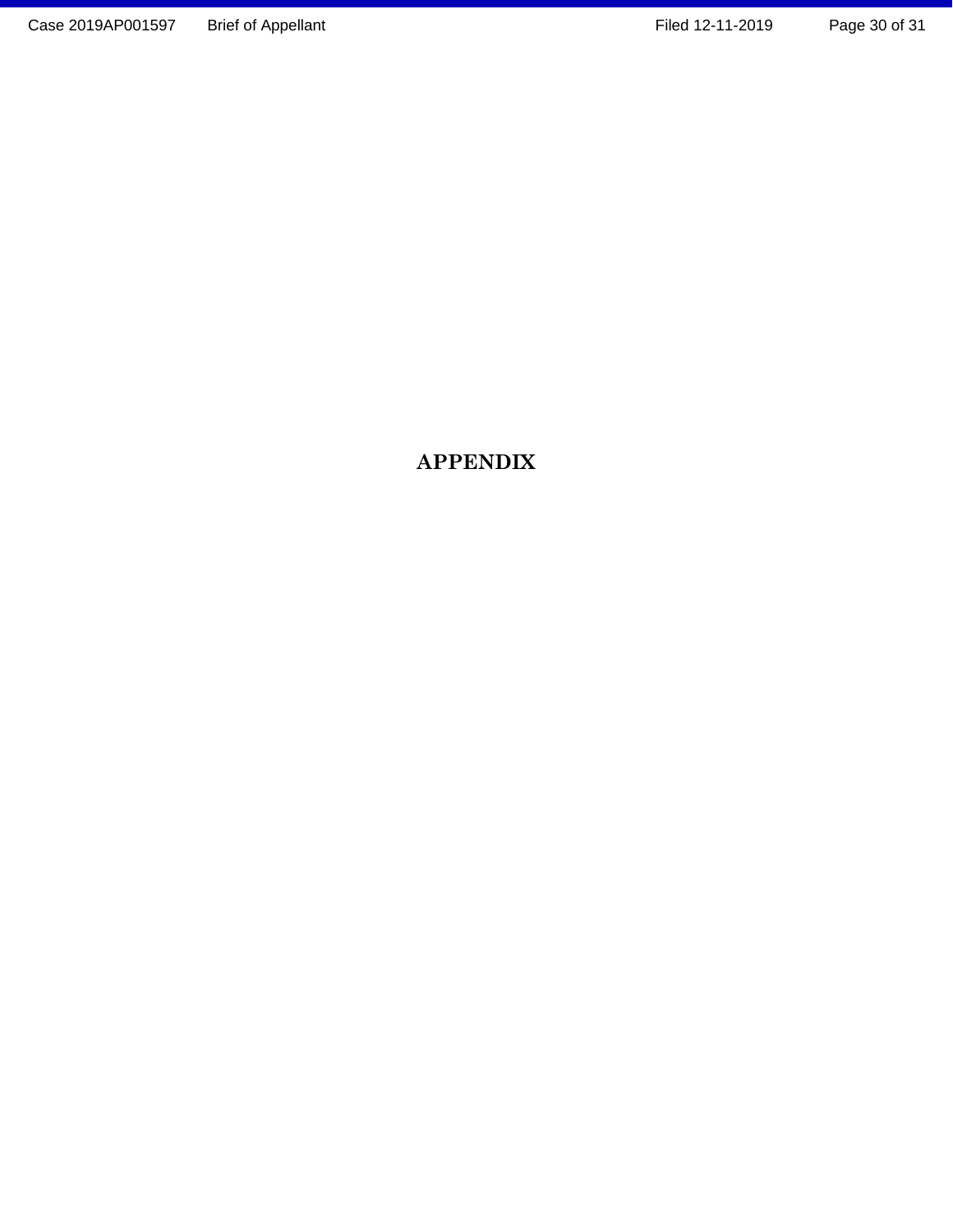## **APPENDIX**